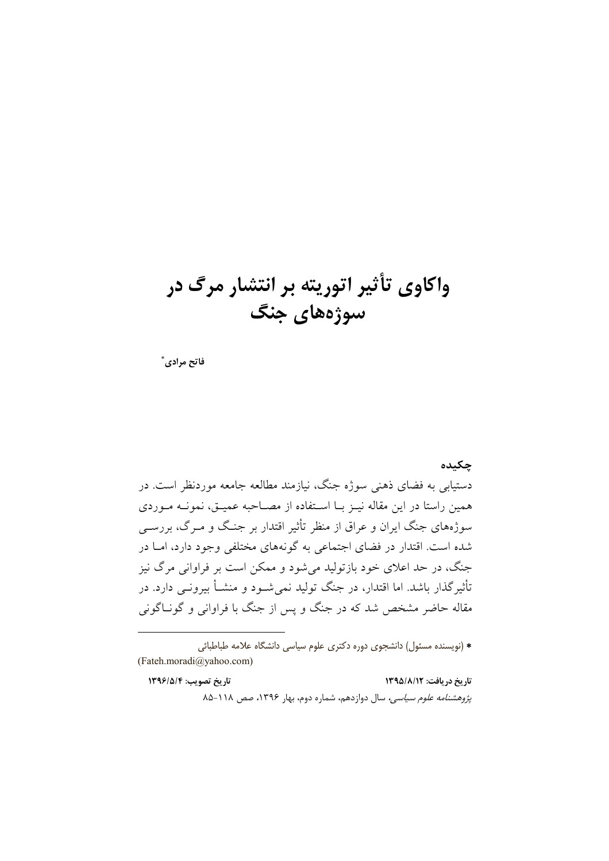## واکاوی تأثیر اتوریته بر انتشار مرگ در سوژههای جنگ

فاتح مرادي ٌ

## حكىدە

دستیابی به فضای ذهنی سوژه جنگ، نیازمند مطالعه جامعه موردنظر است. در همین راستا در این مقاله نیـز بـا اسـتفاده از مصـاحبه عمیـق، نمونــه مـوردی سوژههای جنگ ایران و عراق از منظر تأثیر اقتدار بر جنگ و مـرگ، بررسـی شده است. اقتدار در فضای اجتماعی به گونههای مختلفی وجود دارد، امـا در جنگ، در حد اعلای خود بازتولید می شود و ممکن است بر فراوانی مرگ نیز تأثیر گذار باشد. اما اقتدار، در جنگ تولید نمی شـود و منشـأ بیرونـی دارد. در مقاله حاضر مشخص شد که در جنگ و پس از جنگ با فراوانی و گونــاگونی

\* (نویسنده مسئول) دانشجوی دوره دکتری علوم سیاسی دانشگاه علامه طباطبائی (Fateh.moradi@yahoo.com)

تاريخ دريافت: ١٣٩٥/٨/١٢ تاريخ تصويب: ١٣٩۶/٥/٤ پژوهشنامه علوم سیاسی، سال دوازدهم، شماره دوم، بهار ۱۳۹۶، صص ۱۱۸-۸۵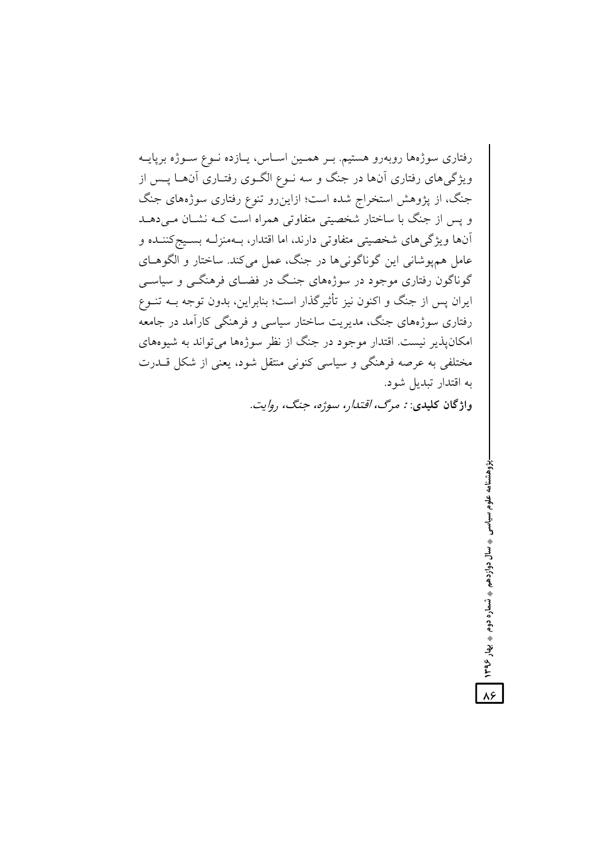رفتاری سوژهها روبهرو هستیم. بـر همـین اسـاس، پـازده نـوع سـوژه برپایــه ویژگیهای رفتاری آنها در جنگ و سه نــوع الگــوی رفتــاری آنهــا پــس از جنگ، از پژوهش استخراج شده است؛ ازاینرو تنوع رفتاری سوژههای جنگ و پس از جنگ با ساختار شخصیتی متفاوتی همراه است کـه نشــان مــی دهــد آنها ويژگيهاي شخصيتي متفاوتي دارند، اما اقتدار، بـهمنزلـه بسـيجكننـده و عامل همپوشانی این گوناگونیها در جنگ، عمل میکند. ساختار و الگوهـای گوناگون رفتاری موجود در سوژههای جنگ در فضـای فرهنگــی و سیاســی ایران پس از جنگ و اکنون نیز تأثیرگذار است؛ بنابراین، بدون توجه بــه تنــوع رفتاری سوژههای جنگ، مدیریت ساختار سیاسی و فرهنگی کارآمد در جامعه امکان پذیر نیست. اقتدار موجود در جنگ از نظر سوژهها می تواند به شیوههای مختلفی به عرصه فرهنگی و سیاسی کنونی منتقل شود، یعنی از شکل قــدرت به اقتدار تبديل شود.

واژگان کليدي: نه مر*گ، اقتدا*ر، سوژه، جنگ، رو*ايت.* 

پژوهشنامه علوم سیاسی پ سال دوازدهم پ شماره دوم په پهار ۱۳۹۶

 $\lambda$ ۶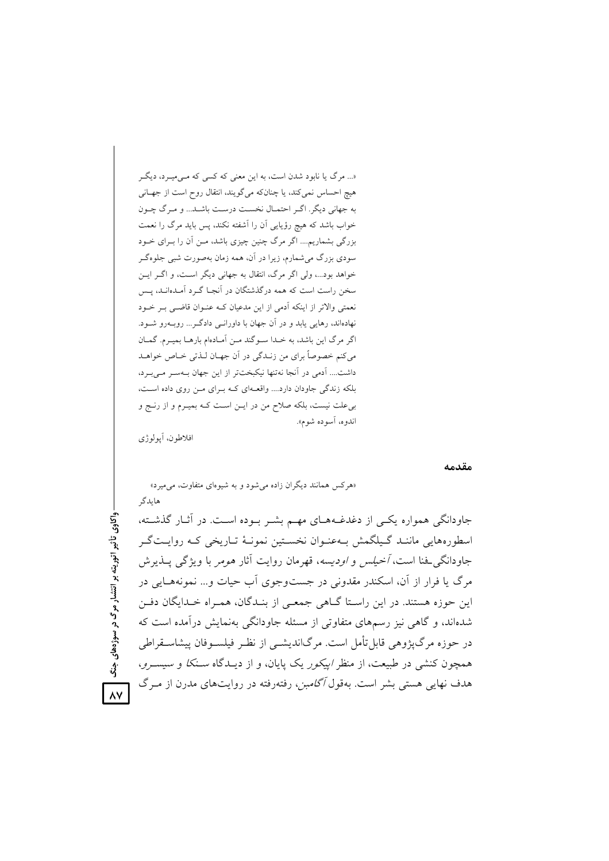«... مرگ یا نابود شدن است، به این معنی که کسی که مـی،میـرد، دیگـر هیچ احساس نمی کند، یا چنانکه می گویند، انتقال روح است از جهـانی به جهاني ديگر. اگر احتمـال نخسـت درسـت باشـد... و مـرگ چـون خواب باشد که هیچ رؤیایی آن را آشفته نکند، پس باید مرگ را نعمت بزرگی بشماریم.... اگر مرگ چنین چیزی باشد، مـن آن را بـرای خـود سودی بزرگ میشمارم، زیرا در آن، همه زمان بهصورت شبی جلوهگـر خواهد بود...، ولي اگر مرگ، انتقال به جهاني ديگر است، و اگـر ايـن سخن راست است که همه درگذشتگان در آنجـا گـرد آمـدهانـد، پـس نعمتی والاتر از اینکه آدمی از این مدعیان کـه عنـوان قاضـی بـر خـود نهادهاند، رهایی پابد و در آن جهان با داورانـی دادگـر ... روبــهرو شــود. اگر مرگ این باشد، به خـدا سـوگند مـن آمـادهام بارهـا بميـرم. گمـان مي كنم خصوصاً براي من زنـدگي در آن جهـان لـذتي خـاص خواهـد داشت.... آدمی در آنجا نهتنها نیکبختتر از این جهان بـهسـر مـی بـرد، بلکه زندگی جاودان دارد.... واقعـهای کـه بـرای مـن روی داده اسـت، بی علت نیست، بلکه صلاح من در ایـن اسـت کـه بمیـرم و از رنـج و اندوه، آسوده شوم».

«هرکس همانند دیگران زاده میشود و به شیوهای متفاوت، میمیرد»

افلاطون، اَيولوژي

هايدگر

مقدمه

واکاوی تأثیر اتوریته بر انتشار مرگ در سوژههای جنگ  $\lambda$ 

جاودانگی همواره یکبی از دغدغـههـای مهـم بشـر بـوده اسـت. در آثـار گذشـته، اسطورههایی ماننـد گـیلگمش بـهعنـوان نخسـتین نمونـهٔ تـاریخی کـه روایـتگـر جاودانگی فنا است، *آخیلس و اودیسه*، قهرمان روایت آثار *هوم*ر با ویژگی پــذیرش مرگ یا فرار از آن، اسکندر مقدونی در جستوجوی آب حیات و… نمونههـایی در این حوزه هستند. در این راسـتا گــاهی جمعـی از بنــدگان، همـراه خــدایگان دفــن شدهاند، و گاهی نیز رسمهای متفاوتی از مسئله جاودانگی بهنمایش درآمده است که در حوزه مرگ¢ژوهی قابل تأمل است. مرگاندیشــی از نظـر فیلســوفان پیشاســقراطی همچون کنشی در طبیعت، از منظر *اییکور* یک پایان، و از دیـدگاه *سـنکا و سیسـرو*، هدف نهایی هستی بشر است. بهقول *آگامبن*، رفتهرفته در روایتهای مدرن از مـرگ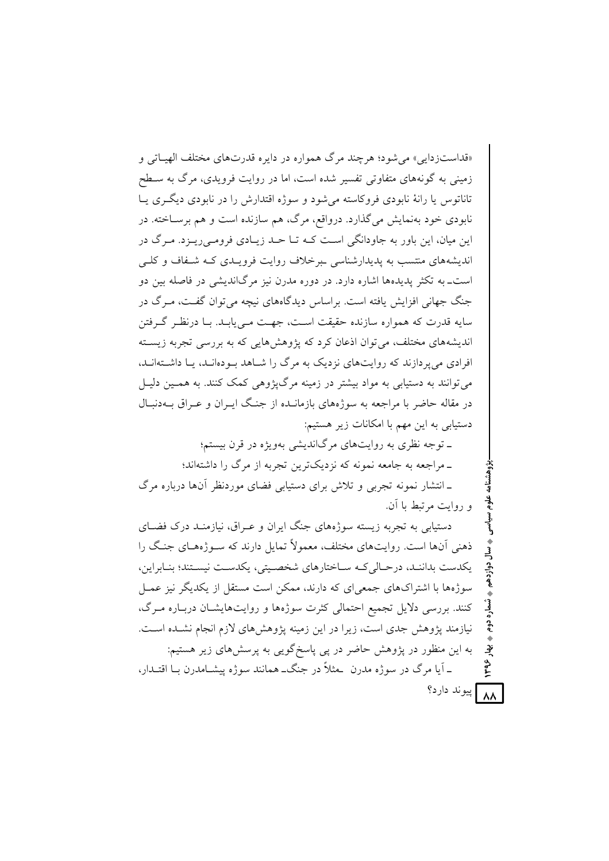«قداست; دایی» می شو د؛ هر چند مرگ همواره در دایره قدرتهای مختلف الهباتی و زمینی به گونههای متفاوتی تفسیر شده است، اما در روایت فرویدی، مرگ به سـطح تاناتوس یا رانهٔ نابودی فروکاسته می شود و سوژه اقتدارش را در نابودی دیگری یـا نابودي خود بهنمايش مي گذارد. درواقع، مرگ، هم سازنده است و هم برسـاخته. در این میان، این باور به جاودانگی است کـه تــا حــد زیــادی فرومــی ریــزد. مــرگ در اندیشههای منتسب به پدیدارشناسی ببرخلاف روایت فرویـدی کـه شـفاف و کلـی است\_به تکثر پدیدهها اشاره دارد. در دوره مدرن نیز مرگاندیشی در فاصله بین دو جنگ جهانی افزایش یافته است. براساس دیدگاههای نیچه میتوان گفت، مـرگ در سايه قدرت كه همواره سازنده حقيقت اسـت، جهـت مـي پابـد. بـا درنظـر گـرفتن اندیشههای مختلف، می توان اذعان کرد که پژوهش هایی که به بررسی تجربه زیسته افرادی می پر دازند که روایتهای نزدیک به مرگ را شـاهد بـودهانـد، یـا داشـتهانـد. می توانند به دستیابی به مواد بیشتر در زمینه مرگیژوهی کمک کنند. به همـین دلیـل در مقاله حاضر با مراجعه به سوژههای بازمانـده از جنـگ ايـران و عـراق بــهدنبـال دستیابی به این مهم با امکانات زیر هستیم:

> ـ توجه نظري به روايتهاي مرگانديشي بهويژه در قرن بيستم؛ ـ مراجعه به جامعه نمونه که نزدیکترین تجربه از مرگ را داشتهاند؛

ـ انتشار نمونه تجربی و تلاش برای دستیابی فضای موردنظر آنها درباره مرگ و روايت مرتبط با أن.

دستبایی به تجربه زیسته سوژههای جنگ ایران و عبراق، نیازمنید درک فضبای ذهنی آنها است. روایتهای مختلف، معمولاً تمایل دارند که سـوژههـای جنـگ را يكدست بدانند، درحـالي كـه سـاختارهاي شخصـيتي، يكدسـت نيسـتند؛ بنـابراين، سوژهها با اشتراکهای جمعی ای که دارند، ممکن است مستقل از یکدیگر نیز عمیل کنند. بررسی دلایل تجمیع احتمالی کثرت سوژهها و روایتهایشان دربـاره مـرگ، نیازمند یژوهش جدی است، زیرا در این زمینه یژوهشهای لازم انجام نشـده اسـت. به این منظور در پژوهش حاضر در پی پاسخگویی به پرسشهای زیر هستیم: ـ آيا مرگ در سوژه مدرن ًـمثلاً در جنگــ همانند سوژه پيشــامدرن بــا اقتــدار، ٨٨ پيوند دارد؟

ؠٚٳ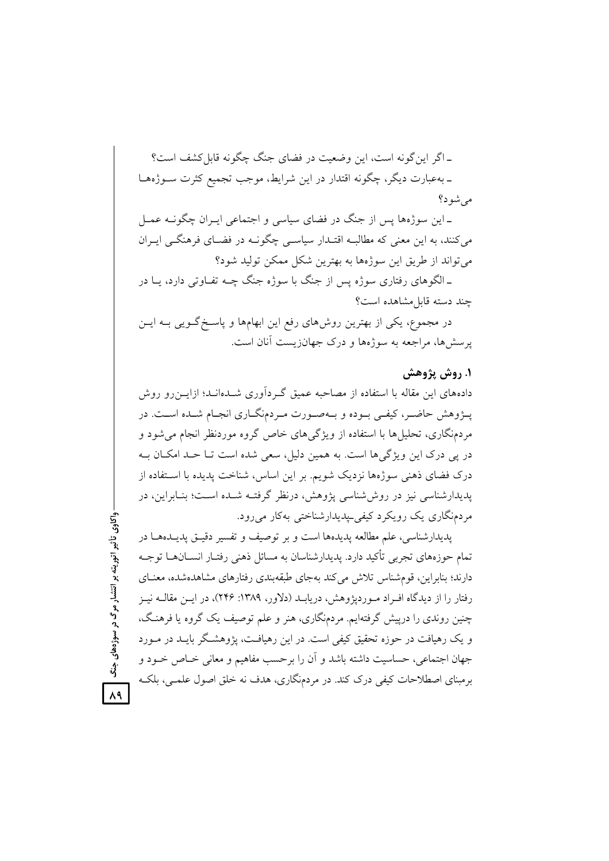ـ اگر اینگونه است، این وضعیت در فضای جنگ چگونه قابل کشف است؟ ـ بهعبارت دیگر، چگونه اقتدار در این شرایط، موجب تجمیع کثرت ســوژههــا مے شو د؟

ـ این سوژهها پس از جنگ در فضای سیاسی و اجتماعی ایــران چگونــه عمــل میکنند، به این معنی که مطالبـه اقتـدار سیاسـی چگونــه در فضــای فرهنگــی ایــران میتواند از طریق این سوژهها به بهترین شکل ممکن تولید شود؟

ـ الگوهای رفتاری سوژه پس از جنگ با سوژه جنگ چــه تفــاوتی دارد، یــا در چند دسته قابلمشاهده است؟

در مجموع، یکی از بهترین روشهای رفع این ابهامها و پاسـخ گــویی بــه ایــن پرسشها، مراجعه به سوژهها و درک جهانزیست آنان است.

## **۱. روش پژوهش**

دادههای این مقاله با استفاده از مصاحبه عمیق گـردآوری شــدهانــد؛ ازایــن٫و روش پــژوهش حاضــر، كيفــي بــوده و بــهصــورت مــردمنگــاري انجــام شــده اســت. در مردمنگاری، تحلیلها با استفاده از ویژگیهای خاص گروه موردنظر انجام میشود و در پی درک این ویژگیها است. به همین دلیل، سعی شده است تــا حــد امکــان بــه درک فضای ذهنی سوژهها نزدیک شویم. بر این اساس، شناخت پدیده با اســتفاده از پدیدارشناسی نیز در روششناسی پژوهش، درنظر گرفتــه شــده اســت؛ بنــابراین، در مردمنگاري يک رويکرد کيفې پيديدارشناختې بهکار مېړود.

پدیدارشناسی، علم مطالعه پدیدهها است و بر توصیف و تفسیر دقیــق پدیــدههــا در تمام حوزههای تجربی تأکید دارد. پدیدارشناسان به مسائل ذهنی رفتـار انســانهــا توجــه دارند؛ بنابراین، قومشناس تلاش میکند بهجای طبقهبندی رفتارهای مشاهدهشده، معنــای رفتار را از دیدگاه افــراد مــوردپژوهش، دریابــد (دلاور، ۱۳۸۹: ۲۴۶)، در ایــن مقالــه نیــز چنین روندی را درپیش گرفتهایم. مردمنگاری، هنر و علم توصیف یک گروه یا فرهنگ، و یک رهیافت در حوزه تحقیق کیفی است. در این رهیافت، پژوهشـگر بایــد در مــورد جهان اجتماعی، حساسیت داشته باشد و آن را برحسب مفاهیم و معانی خــاص خــود و برمبنای اصطلاحات کیفی درک کند. در مردمنگاری، هدف نه خلق اصول علمــی، بلکــه

ر سوژههای جنگ <mark>| ح</mark> ر<br>مرگ<br>د <u>تا</u> ريته بر ا واكاوى تأثير اتو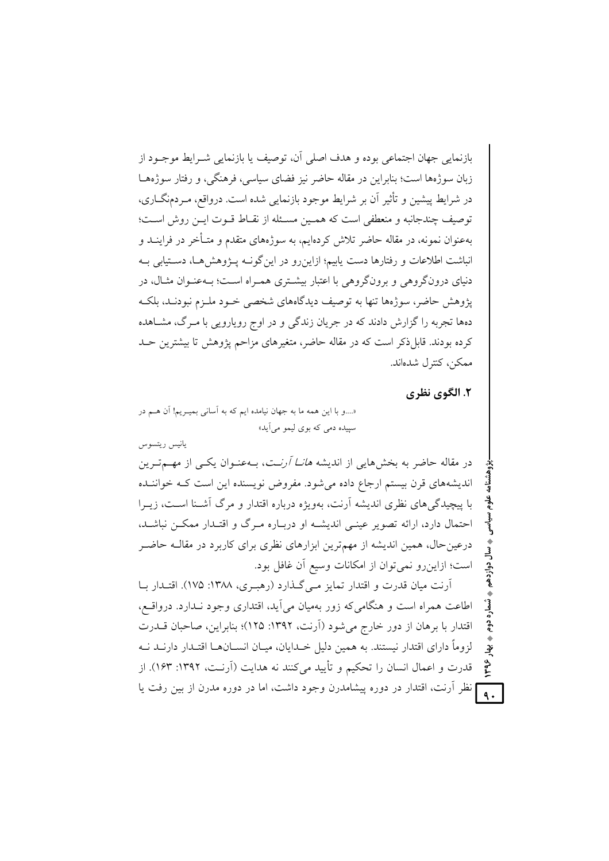بازنمایی جهان اجتماعی بوده و هدف اصلی آن، توصیف با بازنمایی شیرابط موجبود از زبان سوژهها است؛ بنابراین در مقاله حاضر نیز فضای سیاسی، فرهنگی، و رفتار سوژههـا در شرایط پیشین و تأثیر آن بر شرایط موجود بازنمایی شده است. درواقع، مـردمنگــاری، توصيف چندجانيه و منعطفي است كه هميين مسئله از نقباط قبوت اين روش است؛ بهعنوان نمونه، در مقاله حاضر تلاش کردهایم، به سوژههای متقدم و متـأخر در فراینــد و انباشت اطلاعات و رفتارها دست پابیم؛ ازاین رو در این گونـه پـژوهشهـا، دسـتیابی بـه دنیای درونگروهی و برونگروهی با اعتبار بیشتری همـراه اسـت؛ بـهعنـوان مثـال، در یژوهش حاضر، سوژهها تنها به توصیف دیدگاههای شخصی خـود ملـزم نبودنـد، بلکـه دهها تجربه را گزارش دادند که در جریان زندگی و در اوج رویارویی با مـرگ، مشــاهده کرده بودند. قابل ذکر است که در مقاله حاضر، متغیرهای مزاحم پژوهش تا بیشترین حـد ممكن، كنترل شدهاند.

٢. الگوي نظري

«....و با این همه ما به جهان نیامده ایم که به آسانی بمیـریم! آن هــم در سیپده دمي که بوي ليمو مي آيد»

يانيس ريتسوس

در مقاله حاضر به بخشهایی از اندیشه *هانــا آرن*ـت، بــهعنــوان یکــی از مهــمتــرین اندیشههای قرن بیستم ارجاع داده میشود. مفروض نویسنده این است کـه خواننـده با پیچیدگی های نظری اندیشه آرنت، بهویژه درباره اقتدار و مرگ آشـنا اسـت، زیــرا احتمال دارد، ارائه تصویر عینبی اندیشـه او دربـاره مـرگ و اقتـدار ممکـن نباشـد، درعین حال، همین اندیشه از مهمترین ابزارهای نظری برای کاربرد در مقالــه حاضـر است؛ ازاین رو نمی توان از امکانات وسیع آن غافل بود.

آرنت میان قدرت و اقتدار تمایز مـیگـذارد (رهبـری، ۱۳۸۸: ۱۷۵). اقتـدار بـا اطاعت همراه است و هنگامی که زور بهمیان می آید، اقتداری وجود نـدارد. درواقــع، اقتدار با برهان از دور خارج میشود (آرنت، ۱۳۹۲: ۱۲۵)؛ بنابراین، صاحبان قــدرت لزوماً دارای اقتدار نیستند. به همین دلیل خــدایان، میــان انســانهــا اقتــدار دارنــد نــه تو قدرت و اعمال انسان را تحکیم و تأیید می کنند نه هدایت (آرنـت، ۱۳۹۲: ۱۶۳). از نظر اَرنت، اقتدار در دوره پیشامدرن وجود داشت، اما در دوره مدرن از بین رفت یا

 $\ddot{\mathsf{a}}$ .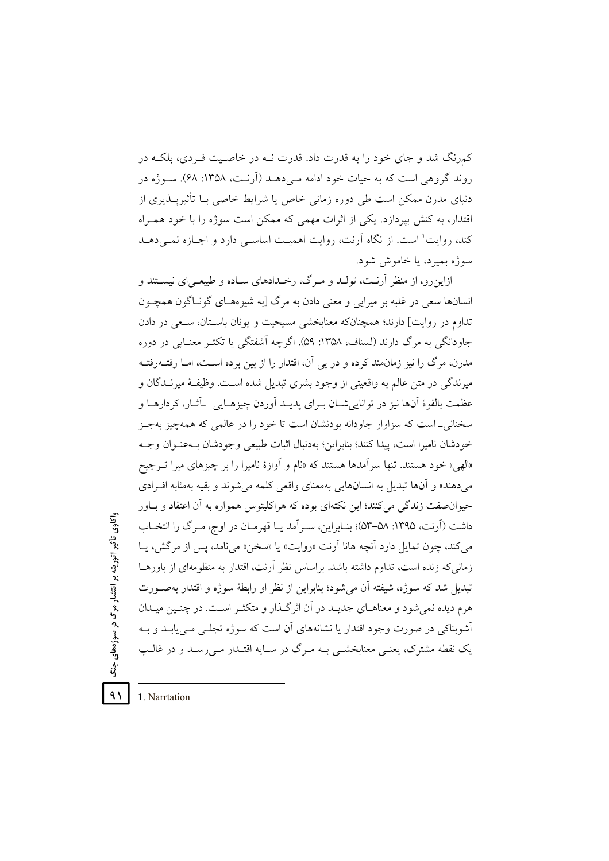کمرنگ شد و جای خود را به قدرت داد. قدرت نــه در خاصـیت فــردی، بلکــه در روند گروهی است که به حیات خود ادامه مـیدهـد (اَرنـت، ١٣۵٨: ۶۸). سـوژه در دنیای مدرن ممکن است طی دوره زمانی خاص یا شرایط خاصی بـا تأثیریــذیری از اقتدار، به کنش بیردازد. یکی از اثرات مهمی که ممکن است سوژه را با خود همـراه کند، روایت' است. از نگاه آرنت، روایت اهمیت اساسی دارد و اجبازه نمبی دهید سوژه بميرد، يا خاموش شود.

ازاین رو، از منظر آرنـت، تولـد و مـرگ، رخـدادهای سـاده و طبیعـی|ی نیسـتند و انسانها سعي در غلبه بر ميرايي و معنى دادن به مرگ [به شيوههـاي گونـاگون همچـون تداوم در روايت] دارند؛ همچنانکه معنابخشی مسیحیت و یونان باسـتان، سـعی در دادن جاودانگی به مرگ دارند (لسناف، ۱۳۵۸: ۵۹). اگرچه آشفتگی با تکثیر معنیایی در دوره مدرن، مرگ را نیز زمان.ند کرده و در پی آن، اقتدار را از بین برده است، امـا رفتــهرفتــه میرندگی در متن عالم به واقعیتی از وجود بشری تبدیل شده است. وظیفهٔ میرنـدگان و عظمت بالقوهٔ اَنها نیز در توانایی شــان بــرای پدیــد اَوردن چیزهــایی ِ \_اَتْــار، کردارهــا و سخنانی۔است که سزاوار جاودانه بودنشان است تا خود را در عالمی که همهچیز بهجـز خودشان ناميرا است، ييدا كنند؛ بنابراين؛ بهدنبال اثبات طبيعي وجودشان بــهعنـوان وجــه «الهي» خود هستند. تنها سر اَمدها هستند كه «نام و اَوازهٔ نامیرا را بر چیزهای میرا تـرجیح میدهند» و آنها تبدیل به انسانهایی بهمعنای واقعی کلمه می شوند و بقیه بهمثابه افـرادی حیوانصفت زندگی می کنند؛ این نکتهای بوده که هراکلیتوس همواره به آن اعتقاد و بـاور داشت (آرنت، ۱۳۹۵: ۵۸–۵۳)؛ بنــابراین، ســر آمد یــا قهرمــان در اوج، مـرگ را انتخــاب می کند، چون تمایل دارد آنچه هانا آرنت «روایت» یا «سخن» می نامد، پس از مرگش، یـا زمانی که زنده است، تداوم داشته باشد. براساس نظر آرنت، اقتدار به منظومهای از باورهــا تبدیل شد که سوژه، شیفته آن می شود؛ بنابراین از نظر او رابطهٔ سوژه و اقتدار بهصـورت هرم دیده نمیشود و معناهـای جدیـد در آن اثرگـذار و متکثـر اسـت. در چنـین میـدان آشوبناکی در صورت وجود اقتدار یا نشانههای آن است که سوژه تجلبی مبی یابـد و بـه یک نقطه مشترک، یعنبی معنابخشبی بــه مــرگ در ســایه اقتــدار مــی(ســد و در غالــب

 $\lambda$ 1. Narrtation

- واکاوی تأثیر اتوریته بر انتشار مرگ در سوژهفای جنگ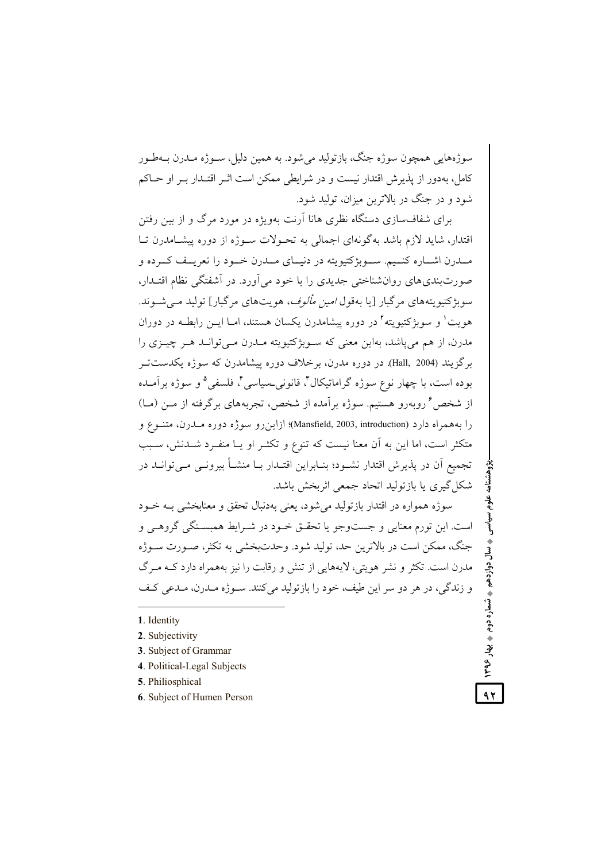سوژههایی همچون سوژه جنگ، بازتولید میشود. به همین دلیل، سـوژه مــدرن بــهطــور كامل، بهدور از يذيرش اقتدار نيست و در شرايطي ممكن است اثـر اقتـدار بـر او حــاكم شود و در جنگ در بالاترین میزان، تولید شود.

برای شفافسازی دستگاه نظری هانا آرنت بهویژه در مورد مرگ و از بین رفتن اقتدار، شاید لازم باشد به گونهای اجمالی به تحـولات سـوژه از دوره پیشـامدرن تـا مــدرن اشــاره كنــيم. ســوبژكتيويته در دنيــاي مــدرن خــود را تعريــف كــرده و صورتبندیهای روانشناختی جدیدی را با خود میآورد. در آشفتگی نظام اقتــدار، سوبژکتیویتههای مرگبار [یا بهقول *امین مألوف*، هویتهای مرگبار] تولید مــیشــوند. هویت<sup>۱</sup> و سوبژکتیویته<sup>۲</sup> در دوره پیشامدرن یکسان هستند، امـا ایــن رابطــه در دوران مدرن، از هم میپاشد، بهاین معنی که سـوبژکتیویته مــدرن مــیتوانــد هــر چیــزی را برگزیند (Hall, 2004). در دوره مدرن، برخلاف دوره پیشامدرن که سوژه یکدستتـر بوده است، با چهار نوع سوژه گراماتیکال**"**، قانونی۔سیاسی**"**، فلسفی<sup>۵</sup> و سوژه برآمـده از شخص<sup>۶</sup> روبهرو هستیم. سوژه برآمده از شخص، تجربههای برگرفته از مـن (مــا) را بههمراه دارد (Mansfield, 2003, introduction)؛ ازاینرو سوژه دوره مــدرن، متنــوع و متكثر است، اما اين به آن معنا نيست كه تنوع و تكثـر او يـا منفـرد شــدنش، سـبب تجمیع اَن در پذیرش اقتدار نشیود؛ بنیاراین اقتیدار بیا منشیأ بیرونبی مبی توانید در شکا گیری یا بازتولید اتحاد جمعی اثربخش باشد.

سوژه همواره در اقتدار بازتولید میشود، یعنی بهدنبال تحقق و معنابخشی بــه خــود است. این تورم معنایی و جستوجو یا تحقــق خــود در شــرایط همبســتگی گروهــی و جنگ، ممکن است در بالاترین حد، تولید شود. وحدتبخشی به تکثر، صــورت ســوژه مدرن است. تکثر و نشر هویتی، لایههایی از تنش و رقابت را نیز بههمراه دارد کــه مــرگ و زندگی، در هر دو سر این طیف، خود را بازتولید میکنند. ســوژه مــدرن، مــدعی کــف

**1**. Identity

 $\overline{a}$ 

- **2**. Subjectivity
- **3**. Subject of Grammar
- **4**. Political-Legal Subjects
- **5**. Philiosphical
- **6**. Subject of Humen Person

بزوهشنامه علوم سیاسی <sub>،</sub> سال دوازدهم ، شماره دوم ، بهار ۱۳۹۶ <mark>م چ</mark> **1396**

 **-+**

٠

سال دوازدهم

٠

**-**شماره دوم<br>\*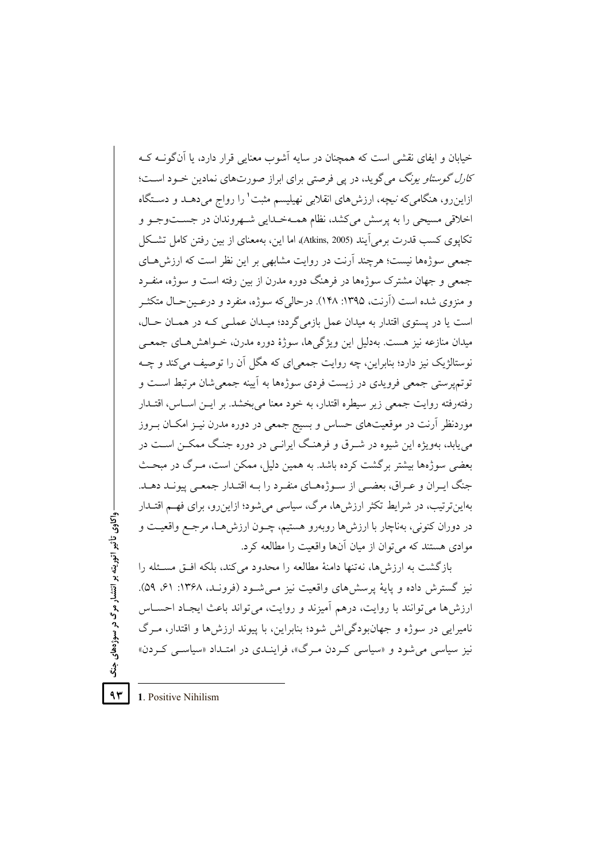خیابان و ایفای نقشی است که همچنان در سایه آشوب معنایی قرار دارد، با آنگونیه کیه *کارل گوستاو یونگ می گو*ید، در یی فرصتی برای ابراز صورتهای نمادین خـود اسـت؛ ازاین٫و، هنگامیکه *نیچه*، ارزشهای انقلابی نهیلیسم مثبت' را رواج میدهـد و دسـتگاه اخلاقي مسيحي را به پرسش مي كشد، نظام همـهخـدايي شـهروندان در جسـتوجـو و تكايوي كسب قدرت برمي]يند (Atkins, 2005)، اما اين، بهمعناي از بين رفتن كامل تشكل جمعی سوژهها نیست؛ هرچند آرنت در روایت مشابهی بر این نظر است که ارزش هـای جمعی و جهان مشترک سوژهها در فرهنگ دوره مدرن از بین رفته است و سوژه، منف د و منزوی شده است (آرنت، ۱۳۹۵: ۱۴۸). درحالی که سوژه، منفرد و درعـینحـال متکثـر است يا در پستوي اقتدار به ميدان عمل بازمي گردد؛ ميـدان عملـي كـه در همــان حـال، میدان منازعه نیز هست. بهدلیل این ویژگی ها، سوژهٔ دوره مدرن، خــواهش هــای جمعــی نوستالژیک نیز دارد؛ بنابراین، چه روایت جمعی ای که هگل آن را توصیف می کند و چــه توتمپرستی جمعی فرویدی در زیست فردی سوژهها به آیینه جمعی شان مرتبط است و رفتهرفته روايت جمعي زير سيطره اقتدار، به خود معنا مي بخشد. بر ايــن اســاس، اقتــدار موردنظر آرنت در موقعیتهای حساس و بسیج جمعی در دوره مدرن نیـز امکـان بـروز می پابد، بهویژه این شیوه در شـرق و فرهنـگ ایرانـی در دوره جنـگ ممکــن اســت در بعضی سوژهها بیشتر برگشت کرده باشد. به همین دلیل، ممکن است، مـرگ در مبحـث جنگ ايـران و عـراق، بعضـي از سـوژههـاي منفـرد را بــه اقتـدار جمعـي پيونــد دهــد. بهاین ترتیب، در شرایط تکثر ارزشها، مرگ، سیاسی می شود؛ ازاین رو، برای فهم اقتـدار در دوران کنونی، بهناچار با ارزشها روبهرو هستیم، چــون ارزشهــا، مرجــع واقعیــت و موادي هستند كه مي توان از ميان آنها واقعيت را مطالعه كرد.

بازگشت به ارزشها، نهتنها دامنهٔ مطالعه را محدود می کند، بلکه افتی مسئله را نیز گسترش داده و پایهٔ پرسش های واقعیت نیز مے شـود (فرونـد، ۱۳۶۸: ۶۱، ۵۹). ارزشها می توانند با روایت، درهم آمیزند و روایت، می تواند باعث ایجاد احساس نامیرایی در سوژه و جهانبودگی اش شود؛ بنابراین، با پیوند ارزشها و اقتدار، مـرگ نیز سیاسی می شود و «سیاسی کردن مرگ»، فراینیدی در امتیداد «سیاسی کردن»

واکاوي تأثیر اتوریته بر انتشار مرگ در سوژههاي جنگ  $94$ 

1. Positive Nihilism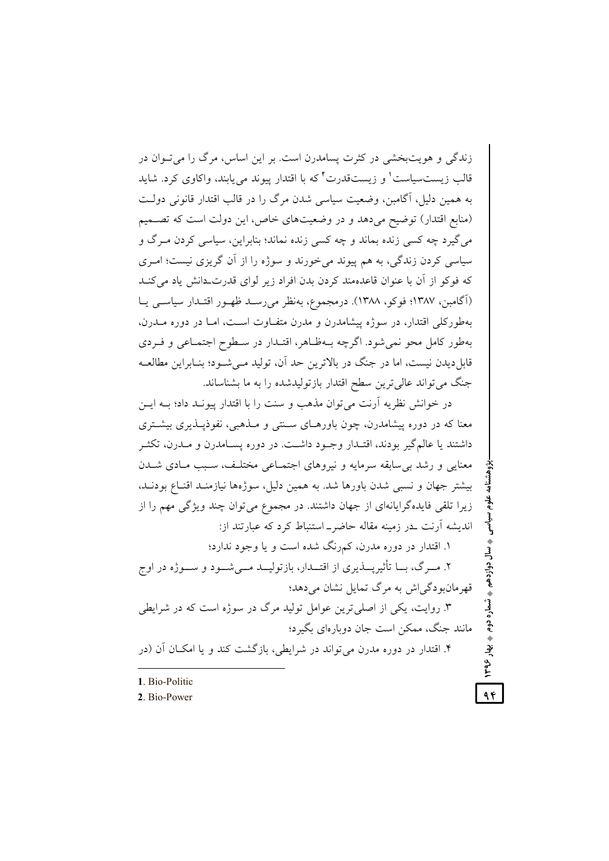زندگی و هویتبخشی در کثرت پسامدرن است. بر این اساس، مرگ را می تـوان در قالب زیستسیاست' و زیستقدرت<sup>۲</sup> که با اقتدار پیوند میtیابند، واکاوی کرد. شاید به همین دلیل، آگامبن، وضعیت سیاسی شدن مرگ را در قالب اقتدار قانونی دولت (منابع اقتدار) توضیح می دهد و در وضعیتهای خاص، این دولت است که تصـمیم مي گيرد چه کسي زنده بماند و چه کسي زنده نماند؛ بنابراين، سياسي کردن مـرگ و سیاسی کردن زندگی، به هم پیوند میخورند و سوژه را از آن گریزی نیست؛ امـری که فوکو از آن با عنوان قاعدهمند کردن بدن افراد زیر لوای قدرت دانش یاد می کنـد (آگامبن، ۱۳۸۷؛ فوکو، ۱۳۸۸). درمجموع، بهنظر می رسـد ظهـور اقتـدار سیاسـی یـا بهطورکلی اقتدار، در سوژه پیشامدرن و مدرن متفـاوت اسـت، امـا در دوره مــدرن، بهطور کامل محو نمي شود. اگرچه بـهظـاهر، اقتـدار در سـطوح اجتمـاعي و فـردي قابل دیدن نیست، اما در جنگ در بالاترین حد آن، تولید مـی شـود؛ بنـابراین مطالعــه جنگ می تواند عالی ترین سطح اقتدار بازتولیدشده را به ما بشناساند.

در خوانش نظریه آرنت می توان مذهب و سنت را با اقتدار پیونـد داد؛ بـه ایــن معنا که در دوره پیشامدرن، چون باورهـای سـنتی و مـذهبی، نفوذیـذیری بیشـتری داشتند يا عالم گير بودند، اقتـدار وجـود داشــت. در دوره پســامدرن و مــدرن، تكثــر معنایی و رشد بی سابقه سرمایه و نیروهای اجتمـاعی مختلـف، سـبب مـادی شـدن بیشتر جهان و نسبی شدن باورها شد. به همین دلیل، سوژهها نیازمنـد اقنــاع بودنــد، زیرا تلقی فایدهگرایانهای از جهان داشتند. در مجموع می توان چند ویژگی مهم را از اندیشه آرنت بدر زمینه مقاله حاضر۔استنباط کرد که عبارتند از: ۱. اقتدار در دوره مدرن، کمرنگ شده است و یا وجود ندارد؛ ۲. مــرگ، بـــا تأثیریــــذیری از اقتـــدار، بازتولیـــد مـــی شـــود و ســـوژه در اوج قھرمان ودگے آش به مرگ تمایل نشان مے دھد؛ ۳. روایت، یکی از اصلی ترین عوامل تولید مرگ در سوژه است که در شرایطی مانند جنگ، ممکن است جان دوبارهای بگیرد؛ ۴. اقتدار در دوره مدرن می تواند در شرایطی، بازگشت کند و یا امکان آن (در

علوم سياسى

♦ سال

دوازدهم

. شماره دوم په بهار ۱۳۹۶

 $96$ 

- 1 Bio-Politic
- 2. Bio-Power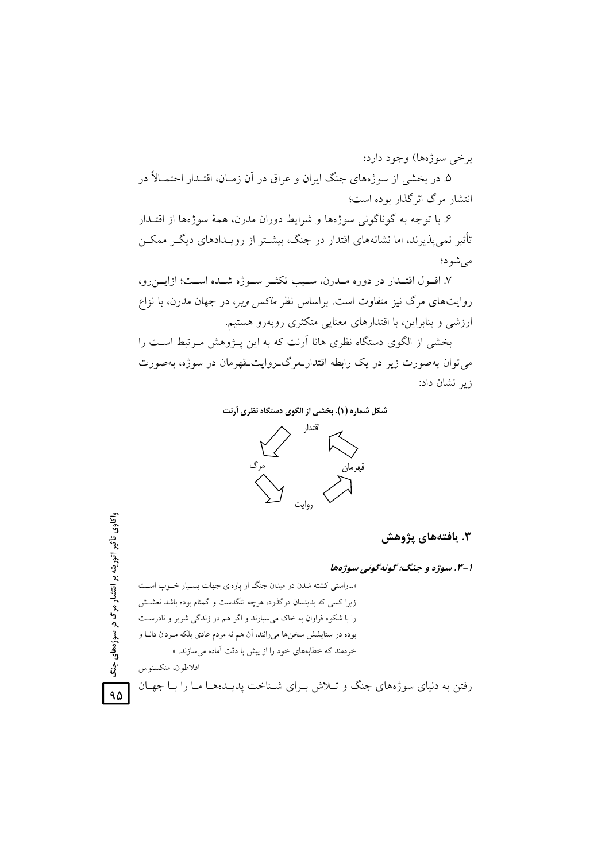برخي سوژهها) وجود دارد؛ ۵. در بخشی از سوژههای جنگ ایران و عراق در آن زمـان، اقتـدار احتمـالاً در انتشار مرگ اثر گذار بو ده است؛

۶. یا توجه به گوناگونی سوژهها و شرایط دوران مدرن، همهٔ سوژهها از اقتـدار تأثیر نمی پذیرند، اما نشانههای اقتدار در جنگ، بیشــتر از رویــدادهای دیگــر ممکــن مى شود؛

٧. افــول اقتــدار در دوره مــدرن، ســبب تكثــر ســوژه شــده اســت؛ ازايــنرو، روایتهای مرگ نیز متفاوت است. براساس نظر *ماکس وبر، در جهان مدرن، با نزاع* ارزشی و بنابراین، با اقتدارهای معنایی متکثری روبهرو هستیم.

بخشی از الگوی دستگاه نظری هانا آرنت که به این پـژوهش مـرتبط اسـت را می توان بهصورت زیر در یک رابطه اقتدار مرگ روایت قهرمان در سوژه، بهصورت زیر نشان داد:

شکل شماره (۱). بخشی از الگوی دستگاه نظری أرنت



۳. یافتههای پژوهش

۱–۳. سوژه و جنگ: گونهگونی سوژهها

«...راستی کشته شدن در میدان جنگ از پارهای جهات بسـیار خـوب اسـت زیرا کسی که بدینسان درگذرد، هرچه تنگدست و گمنام بوده باشد نعشش را با شکوه فراوان به خاک میسپارند و اگر هم در زندگی شریر و نادرست بوده در ستایشش سخنها میرانند، آن هم نه مردم عادی بلکه مـردان دانـا و خردمند که خطابههای خود را از پیش با دقت آماده می سازند...»

افلاطون، منكسنوس

واکاوی تأثیر اتوریته بر انتشار مرگ در سوژههای

 $\ddot{\ddot{\delta}}$ 

 $90$ 

رفتن به دنیای سوژههای جنگ و تـلاش بـرای شـناخت پدیـدههـا مـا را بـا جهـان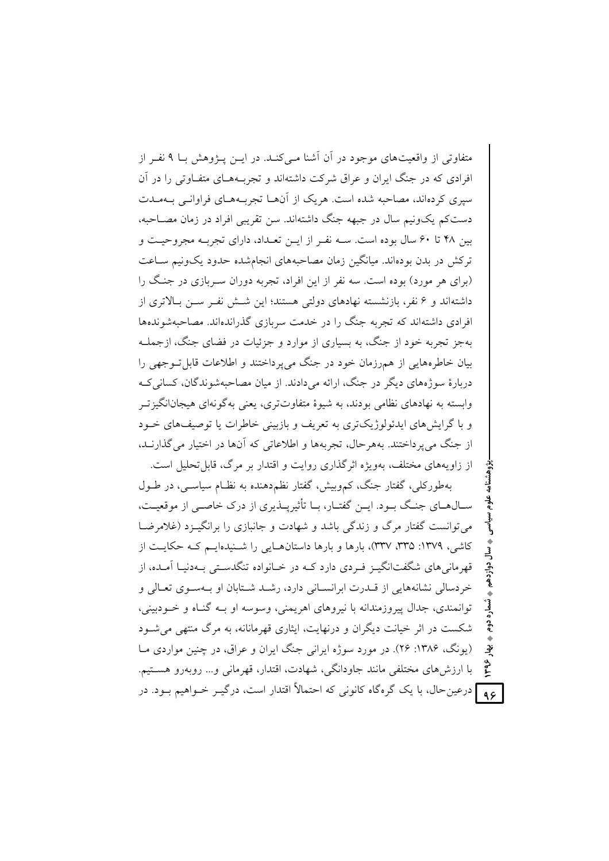متفاوتی از واقعیتهای موجود در آن آشنا مے کنـد. در ایــن پــژوهش بـا ۹ نفــر از افرادی که در جنگ ایران و عراق شرکت داشتهاند و تجربـههـای متفـاوتی را در آن سیری کردهاند، مصاحبه شده است. هریک از آنهــا تجربــههــای فراوانــی بــهمــدت دست کم یک ونیم سال در جبهه جنگ داشته اند. سن تقریبی افراد در زمان مصـاحبه، بین ۴۸ تا ۶۰ سال بوده است. سـه نفـر از ایــن تعـداد، دارای تجربـه مجروحیـت و ترکش در بدن بودهاند. میانگین زمان مصاحبههای انجامشده حدود یکوییم سـاعت (برای هر مورد) بوده است. سه نفر از این افراد، تجربه دوران سـربازی در جنگ را داشتهاند و ۶ نفر، بازنشسته نهادهای دولتی هستند؛ این شــش نفـر ســن بــالاتری از افرادی داشتهاند که تجربه جنگ را در خدمت سربازی گذراندهاند. مصاحبهشوندهها پهجز تجربه خود از جنگ، به بسیاری از موارد و جزئیات در فضای جنگ، ازجملـه بیان خاطرههایی از همرزمان خود در جنگ می پرداختند و اطلاعات قابل تــوجهی را دربارهٔ سوژههای دیگر در جنگ، ارائه می دادند. از میان مصاحبهشوندگان، کسانی ک وابسته به نهادهای نظامی بودند، به شبوهٔ متفاوتتری، بعنی بهگونهای هیجانانگیزتیر و با گرایش های ایدئولوژیکتری به تعریف و بازبینی خاطرات یا توصیفهای خــود از جنگ می بر داختند. په هر حال، تجربه ها و اطلاعاتی که آنها در اختیار می گذارنید، از زاویههای مختلف، بهویژه اثر گذاری روایت و اقتدار بر مرگ، قابل تحلیل است.

بهطورکلی، گفتار جنگ، کموبیش، گفتار نظم دهنده به نظـام سیاســی، در طــول ســال٥هــاي جنــگ بــود. ايــن گفتــار، بــا تأثيرپـــذيري از درک خاصــي از موقعيــت، می توانست گفتار مرگ و زندگی باشد و شهادت و جانبازی را برانگیزد (غلام ضبا کاشی، ۱۳۷۹: ۳۳۵، ۳۳۷)، بارها و بارها داستانهایی را شـنیدهایـم کـه حکایـت از قهرمانی های شگفتانگیـز فـردی دارد کــه در خــانواده تنگدسـتی بــهدنیـا آمــده، از خردسالی نشانههایی از قبدرت ایرانسیانی دارد، رشید شیتابان او پیهسوی تعیالی و توانمندی، جدال پیروزمندانه با نیروهای اهریمنی، وسوسه او بـه گنـاه و خـودبینی، شکست در اثر خیانت دیگران و درنهایت، ایثاری قهرمانانه، به مرگ منتهی می شـود (یونگ، ۱۳۸۶: ۲۶). در مورد سوژه ایرانی جنگ ایران و عراق، در چنین مواردی مـا تۇ با ارزش۵ای مختلفی مانند جاودانگی، شهادت، اقتدار، قهرمانی و… روبهرو هســتیم. **۹۶ ا**درعین حال، با یک گرهگاه کانونی که احتمالاً اقتدار است، درگیــر خــواهیم بــود. در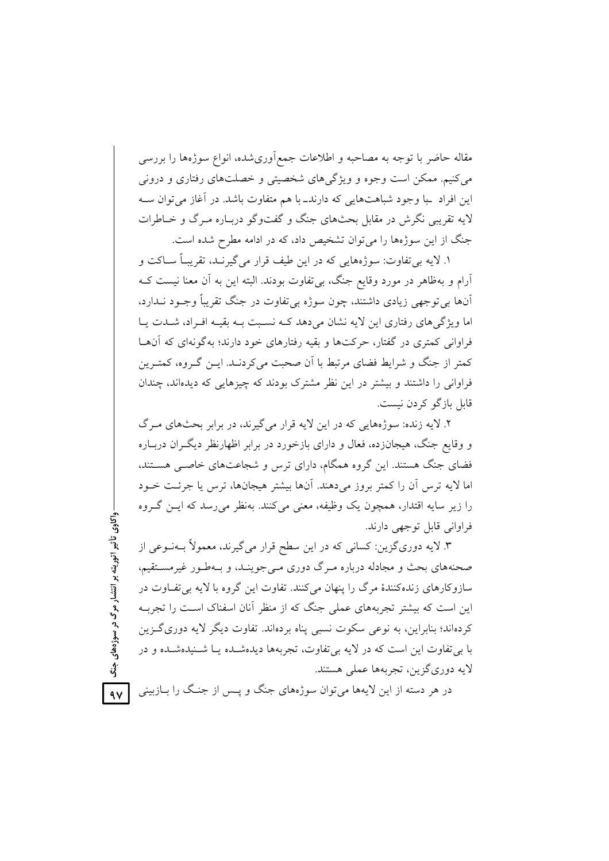مقاله حاضر با توجه به مصاحبه و اطلاعات جمع|وریشده، انواع سوژهها را بررسی می کنیم. ممکن است وجوه و ویژگی های شخصیتی و خصلتهای رفتاری و درونی این افراد با وجود شباهتهایی که دارند\_با هم متفاوت باشد. در آغاز می توان سـه لايه تقریبي نگرش در مقابل بحثهای جنگ و گفتوگو درباره میرگ و خیاطرات جنگ از این سوژهها را می توان تشخیص داد، که در ادامه مطرح شده است.

۱. لایه بی تفاوت: سوژههایی که در این طیف قرار می گیرنـد، تقریبـاً ســاکت و آرام و بهظاهر در مورد وقایع جنگ، بی تفاوت بودند. البته این به آن معنا نیست کـه آنها بي توجهي زيادي داشتند، چون سوژه بي تفاوت در جنگ تقريباً وجـود نــدارد، اما ویژگی های رفتاری این لایه نشان می دهد کـه نسـبت بـه بقیـه افـراد، شــدت پــا فراواني کمتري در گفتار، حرکتها و بقيه رفتارهاي خود دارند؛ په گونهاي که آن ها كمتر از جنگ و شرايط فضاي مرتبط با آن صحبت مي كردنـد. ايــن گــروه، كمتــرين فراوانی را داشتند و بیشتر در این نظر مشترک بودند که چیزهایی که دیدهاند، چندان قابل بازگو کردن نیست.

۲. لایه زنده: سوژههایی که در این لایه قرار می گیرند، در برابر بحثهای مـرگ و وقایع جنگ، هیجانزده، فعال و دارای بازخورد در برابر اظهارنظر دیگ ان دربـاره فضای جنگ هستند. این گروه همگام، دارای ترس و شجاعتهای خاصبی هستند، اما لایه ترس أن را کمتر بروز میدهند. أنها بیشتر هیجانها، ترس یا جرئت خــود را زیر سایه اقتدار، همچون یک وظیفه، معنی میکنند. بهنظر می رسد که ایــن گــروه فراواني قابل توجهي دارند.

۳. لایه دوریگزین: کسانی که در این سطح قرار میگیرند، معمولاً بـهنــوعی از صحنههای بحث و مجادله درباره مـرگ دوری مـی جوینـد، و بـهطـور غیرمسـتقیم، سازو کارهای زندهکنندهٔ مرگ را پنهان می کنند. تفاوت این گروه با لایه بی تفـاوت در این است که بیشتر تجربههای عملی جنگ که از منظر آنان اسفناک است را تجربــه کردهاند؛ بنابراین، به نوعی سکوت نسبی پناه بردهاند. تفاوت دیگر لایه دوری گـزین با بي تفاوت اين است كه در لايه بي تفاوت، تجربهها ديدهشـده يـا شـنيدهشـده و در لايه دوري گزين، تجربهها عملي هستند.

در هر دسته از این لایهها میٍتوان سوژههای جنگ و پــس از جنـگ را بــازبینی

واکاوي تأثیر اتوریته بر انتشار مرگ در سوژههاي جنگ  $\sim$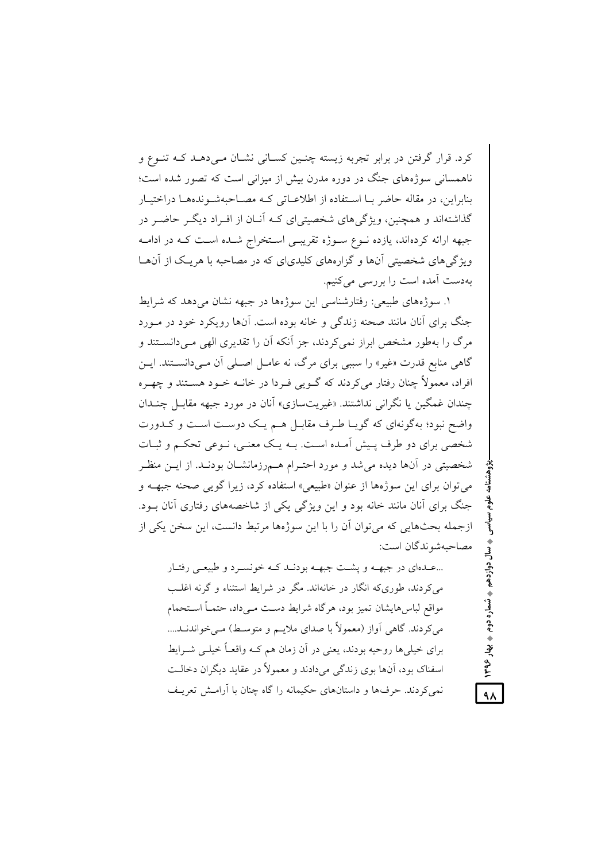کرد. قرار گرفتن در برابر تجربه زیسته چنـین کسـانی نشـان مـی(هـد کـه تنـوع و ناهمسانی سوژههای جنگ در دوره مدرن بیش از میزانی است که تصور شده است؛ بنابراین، در مقاله حاضر بــا اسـتفاده از اطلاعــاتی کــه مصــاحبهشــوندههــا دراختيــار گذاشتهاند و همچنین، ویژگی های شخصیتی ای کـه آنــان از افــراد دیگـر حاضـر در جبهه ارائه کردهاند، یازده نــوع ســوژه تقریبــی اســتخراج شــده اســت کــه در ادامــه ویژگیهای شخصیتی آنها و گزارههای کلیدیای که در مصاحبه با هریک از آنهـا بهدست آمده است را بررسی میکنیم.

۱. سوژههای طبیعی: رفتارشناسی این سوژهها در جبهه نشان می دهد که شرایط جنگ برای آنان مانند صحنه زندگی و خانه بوده است. آنها رویکرد خود در مـورد مرگ را بهطور مشخص ایراز نمی کردند، جز آنکه آن را تقدیری الھی مے دانستند و گاهی منابع قدرت «غیر» را سببی برای مرگ، نه عامـل اصـلی آن مـیcانسـتند. ایـن افراد، معمولاً چنان رفتار میکردند که گــویی فــردا در خانــه خــود هســتند و چهــره چندان غمگین یا نگرانی نداشتند. «غیریتسازی» آنان در مورد جبهه مقابیل چنیدان واضح نبود؛ بهگونهای که گویـا طـرف مقابـل هـم یـک دوسـت اسـت و کــدورت شخصی برای دو طرف پـیش آمـده اسـت. بــه یـک معنــی، نــوعی تحکــم و ثبــات شخصیتی در آنها دیده می شد و مورد احتـرام هــمرزمانشــان بودنــد. از ایــن منظــر مي توان براي اين سوژهها از عنوان «طبيعي» استفاده كرد، زيرا گويي صحنه جبهــه و جنگ برای آنان مانند خانه بود و این ویژگی یکی از شاخصههای رفتاری آنان بود. ازجمله بحثهایی که می توان آن را با این سوژهها مرتبط دانست، این سخن یکی از مصاحبهشوندگان است:

...عـدهای در جبهـه و پشـت جبهـه بودنـد کـه خونسـرد و طبیعـی رفتـار می کردند، طوری که انگار در خانهاند. مگر در شرایط استثناء و گرنه اغلب مواقع لباس هايشان تميز بود، هرگاه شرايط دست مـىداد، حتمــاً اســتحمام مي كردند. گاهي آواز (معمولاً با صداي ملايـم و متوسـط) مـي خواندنــد.... برای خیلی ها روحیه بودند، یعنی در آن زمان هم کـه واقعـاً خیلـی شـرایط اسفناک بود، آنها بوی زندگی میدادند و معمولاً در عقاید دیگران دخالت نمي كردند. حرفها و داستانهاي حكيمانه را گاه چنان با آرامش تعريـف . دوازدهم په شماره دوم په پهار ۱۳۹۶

 $\lambda$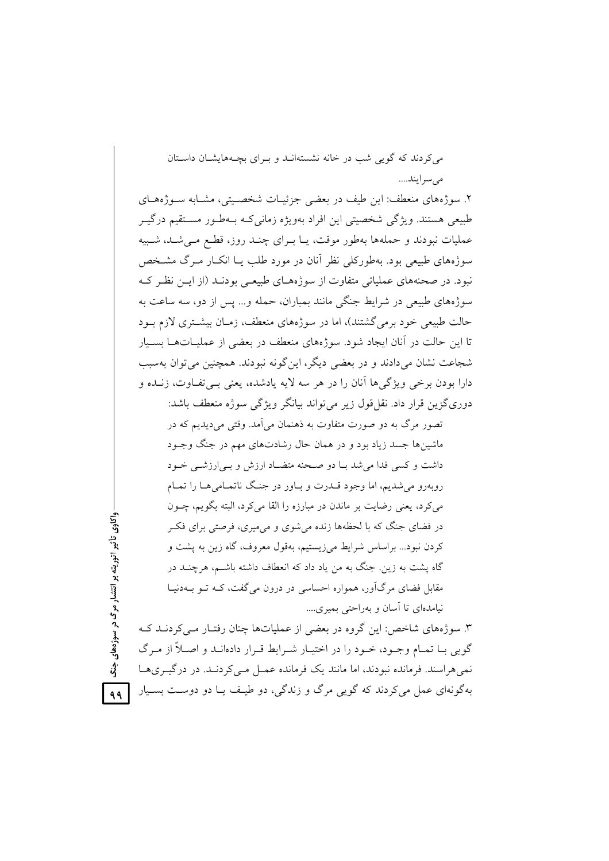6
( 6
(?% (g ( 0 !(G? 
; m7 %8 @ !@ .. ..!% 

۲. سوژههای منعطف: این طیف در بعضی جزئیـات شخصــیتی، مشــابه ســوژههــای طبیعی هستند. ویژگی شخصیتی این افراد بهویژه زمانیکـه بــهطـور مســتقیم درگیــر عملیات نبودند و حملهها بهطور موقت، یــا بــرای چنــد روز، قطـع مــیشــد، شــبیه سوژههای طبیعی بود. بهطورکلی نظر آنان در مورد طلب یــا انکــار مــرگ مشــخص نبود. در صحنههای عملیاتی متفاوت از سوژههـای طبیعـی بودنــد (از ایــن نظـر کــه سوژههای طبیعی در شرایط جنگی مانند بمباران، حمله و… پس از دو، سه ساعت به حالت طبیعی خود برمیگشتند)، اما در سوژههای منعطف، زمـان بیشــتری لازم بــود تا این حالت در آنان ایجاد شود. سوژههای منعطف در بعضی از عملیــاتهــا بســیار شجاعت نشان میدادند و در بعضی دیگر، اینگونه نبودند. همچنین میتوان بهسبب دارا بودن برخی ویژگیها آنان را در هر سه لایه یادشده، یعنی بــیتفــاوت، زنــده و دوریگزین قرار داد. نقل قول زیر می تواند بیانگر ویژگی سوژه منعطف باشد:

تصور مرگ به دو صورت متفاوت به ذهنمان میآمد. وقتی میدیدیم که در ماشینها جسد زیاد بود و در همان حال رشادتهای مهم در جنگ وجـود داشت و کسی فدا می شد بـا دو صـحنه متضـاد ارزش و بـی|رزشـی خـود روبهرو میشدیم، اما وجود قــدرت و بــاور در جنــگ ناتمــامی۵ــا را تمــام میکرد، یعنی رضایت بر ماندن در مبارزه را القا میکرد، البته بگویم، چـون در فضای جنگ که با لحظهها زنده میشوی و میمیری، فرصتی برای فکـر كردن نبود... براساس شرايط مىزيستيم، بهقول معروف، گاه زين به پشت و گاه پشت به زین. جنگ به من یاد داد که انعطاف داشته باشــم، هرچنــد در مقابل فضای مرگآور، همواره احساسی در درون میگفت، کـه تــو بــهدنیــا نیامدهای تا آسان و بهراحتی بمیری....

۳. سوژههای شاخص: این گروه در بعضی از عملیاتها چنان رفتـار مـیکردنــد کــه گویی بـا تمـام وجـود، خـود را در اختيـار شـرايط قـرار دادهانـد و اصـلاً از مـرگ نمیهراسند. فرمانده نبودند، اما مانند یک فرمانده عمـل مـیکردنــد. در درگیــریهــا بهگونهای عمل می کردند که گویی مرگ و زندگی، دو طیـف یـا دو دوسـت بسـیار

ر سوژههای جنگ <mark>ه م</mark> ر<br>مرگ<br>د <u>تا</u> ريته بر ا واكاوى تأثير اتو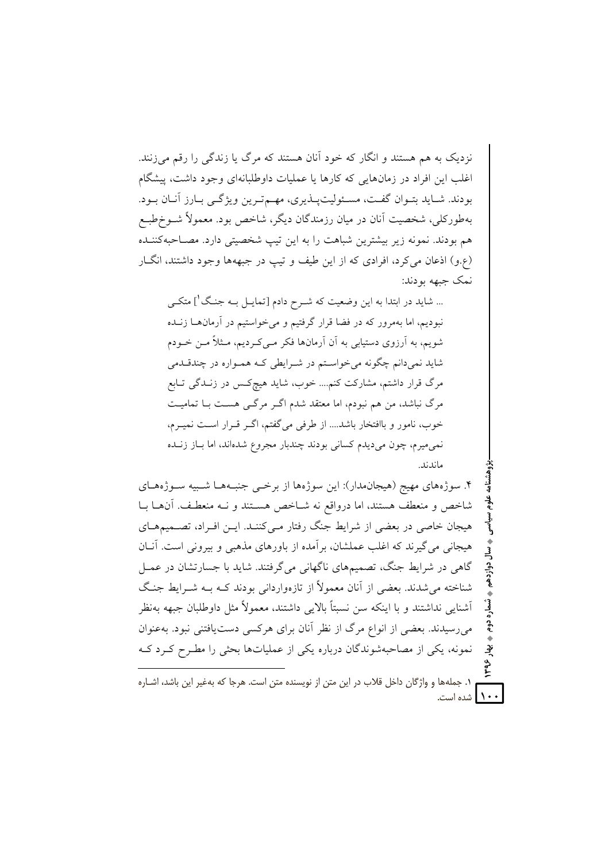نزدیک به هم هستند و انگار که خود آنان هستند که مرگ یا زندگی را رقم می زنند. اغلب این افراد در زمانهایی که کارها یا عملیات داوطلبانهای وجود داشت، پیشگام بودند. شبايد بتبوان گفت، مسئوليت پيذيري، مهم تيرين ويژگبي بيارز آنيان بيود. بهطورکلم ِ، شخصیت آنان در میان رزمندگان دیگر ، شاخص بود. معمولاً شــوخطبــع هم بودند. نمونه زیر بیشترین شباهت را به این تیپ شخصیتی دارد. مصـاحبهکننـده (ع.و) اذعان می کرد، افرادی که از این طیف و تیپ در جبههها وجود داشتند، انگ[ر نمک جبهه بودند:

... شاید در ابتدا به این وضعیت که شـرح دادم [تمایـل بـه جنـگ'] متکـی نبودیم، اما بهمرور که در فضا قرار گرفتیم و می خواستیم در آرمانهـا زنـده شویم، به آرزوی دستیابی به آن آرمانها فکر مـی کـردیم، مـثلاً مـن خـودم شاید نمیدانم چگونه می خواستم در شـرایطی کـه همـواره در چندقـدمی مرگ قرار داشتم، مشارکت کنم…. خوب، شاید هیچکس در زنـدگی تـابع مرگ نباشد، من هم نبودم، اما معتقد شدم اگـر مرگـی هسـت بـا تمامیـت خوب، نامور و باافتخار باشد.... از طرفی می گفتم، اگـر قـرار اسـت نمیـرم، نمي ميرم، چون مي ديدم كساني بودند چندبار مجروع شدهاند، اما بــاز زنــده ماندند.

۴. سوژههای مهیج (هیجانهدار): این سوژهها از برخمی جنبههـا شـبیه سـوژههـای شاخص و منعطف هستند، اما درواقع نه شـاخص هسـتند و نــه منعطـف. آنهــا بــا هیجان خاصی در بعضی از شرایط جنگ رفتار مـی کننـد. ایـن افـراد، تصـمیمهـای هیجانی می گیرند که اغلب عملشان، برآمده از باورهای مذهبی و بیرونی است. آنان گاهی در شرایط جنگ، تصمیمهای ناگهانی می گرفتند. شاید با جسارتشان در عمـل شناخته می شدند. بعضی از آنان معمولاً از تازهواردانی بودند کـه بـه شـرابط جنـگ أشنايي نداشتند و با اينكه سن نسبتاً بالايي داشتند، معمولاً مثل داوطلبان جبهه بهنظر می رسیدند. بعضی از انواع مرگ از نظر آنان برای هرکسی دست یافتنی نبود. بهعنوان نمونه، یکی از مصاحبهشوندگان درباره یکی از عملیاتها بحثی را مطـرح کـرد کـه

١. جملهها و واژگان داخل قلاب در اين متن از نويسنده متن است. هرجا كه بهغير اين باشد، اشـاره ۱۰۰ منده است.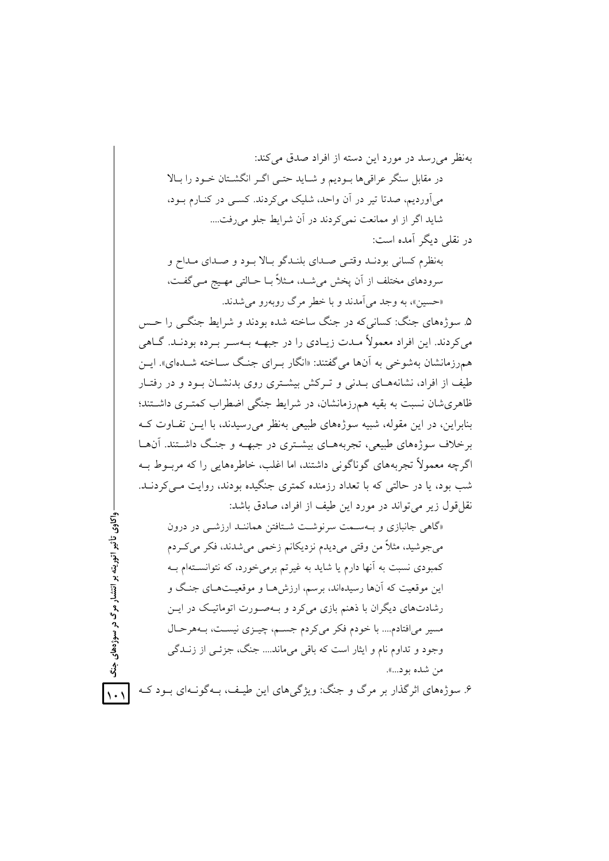۶. سوژههای اثرگذار بر مرگ و جنگ: ویژگیهای این طیـف، بـهگونـهای بـود کـه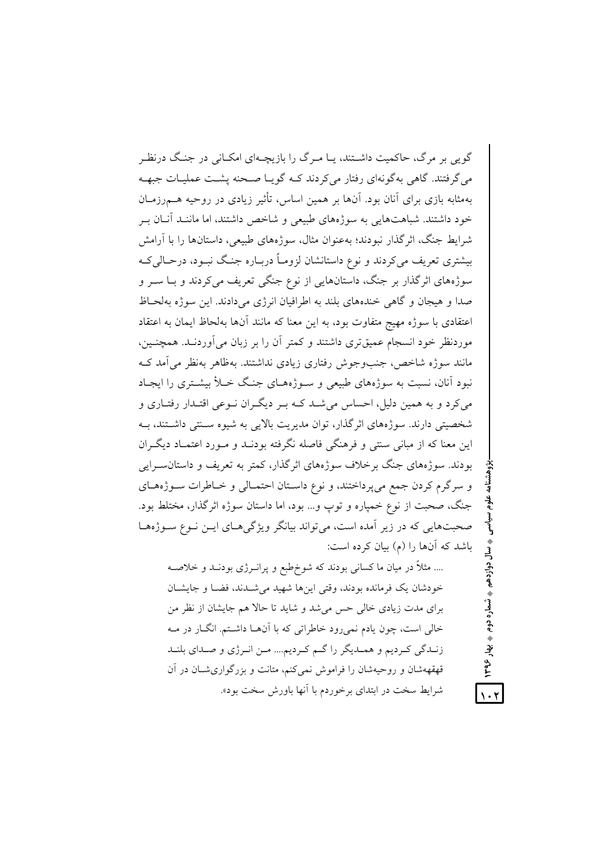گویی بر مرگ، حاکمیت داشتند، پـا مـرگ را بازیچـهای امکـانی در جنـگ درنظـر می گرفتند. گاهی بهگونهای رفتار میکردند کـه گویـا صـحنه پشـت عملیـات جبهـه بهمثابه بازی برای آنان بود. آنها بر همین اساس، تأثیر زیادی در روحیه هــمرزمــان خود داشتند. شباهتهایی به سوژههای طبیعی و شاخص داشتند، اما ماننید آنیان پ شرايط جنگ، اثر گذار نبودند؛ بهعنوان مثال، سوژههای طبیعی، داستانها را با آرامش بیشتری تعریف میکردند و نوع داستانشان لزومـاً دربـاره جنـگ نبــود، درحــالییکـه سوژههای اثرگذار بر جنگ، داستانهایی از نوع جنگی تعریف میکردند و بــا ســر و صدا و هيجان و گاهي خندههاي بلند به اطرافيان انرژي مي دادند. اين سوژه بهلحـاظ اعتقادی با سوژه مهیج متفاوت بود، به این معنا که مانند آنها بهلحاظ ایمان به اعتقاد موردنظر خود انسجام عمیقتری داشتند و کمتر آن را بر زبان می آوردنــد. همچنــین، مانند سوژه شاخص، جنبوجوش رفتاری زیادی نداشتند. بهظاهر بهنظر می آمد ک نبود آنان، نسبت به سوژههای طبیعی و سـوژههـای جنـگ خـلأ بیشـتری را ایجـاد می کرد و به همین دلیل، احساس می شـد کــه بــر دیگــران نــوعی اقتــدار رفتــاری و شخصیتی دارند. سوژههای اثر گذار، توان مدیریت بالایی به شیوه سـنتی داشـتند، بـه این معنا که از مبانی سنتی و فرهنگی فاصله نگرفته بودنــد و مــورد اعتمــاد دیگــران بودند. سوژههای جنگ برخلاف سوژههای اثر گذار، کمتر به تعریف و داستان سرایی و سرگرم کردن جمع می پرداختند، و نوع داسـتان احتمـالی و خـاطرات سـوژههـای جنگ، صحبت از نوع خمپاره و توپ و... بود، اما داستان سوژه اثرگذار، مختلط بود. صحبتهایی که در زیر آمده است، میتواند بیانگر ویژگیهای ایـن نـوع سـوژههـا باشد که آنها را (م) بیان کرده است:

.... مثلاً در میان ما کسانی بودند که شوخطبع و پرانـرژی بودنـد و خلاصـه خودشان یک فرمانده بودند، وقتی اینها شهید می شـدند، فضـا و جایشـان برای مدت زیادی خالی حس می شد و شاید تا حالا هم جایشان از نظر من خالي است، چون يادم نمي رود خاطراتي كه با آنهـا داشـتم. انگــار در مــه زنـدگي كـرديم و همـديگر را گـم كـرديم.... مـن انـرژي و صـداي بلنـد قهقههشان و روحیهشان را فراموش نمیکنم، متانت و بزرگواری شان در آن شرایط سخت در ابتدای برخوردم با آنها باورش سخت بود».

دوازدهم

**په شماره دوم په بهار ۱۳۹۶**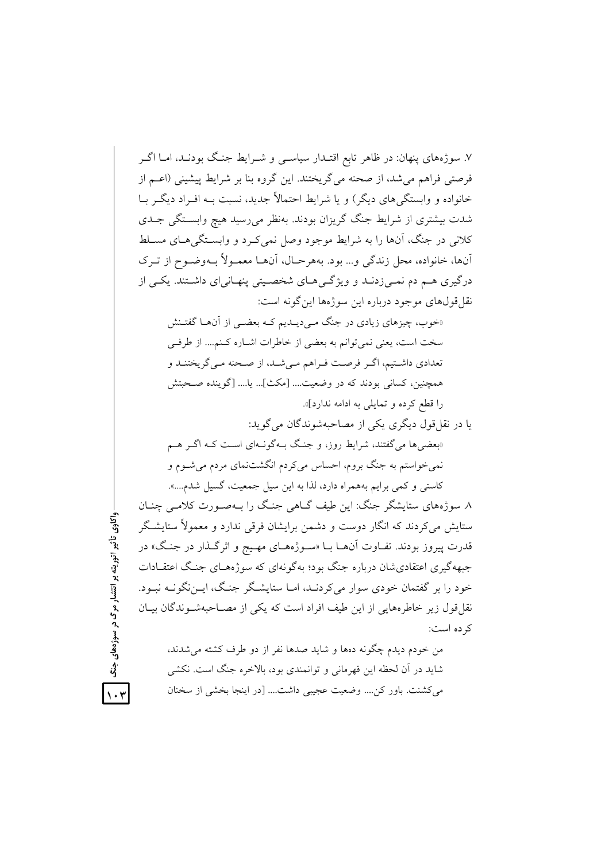۷. سوژههای پنهان: در ظاهر تابع اقتـدار سیاسـی و شـرایط جنـگ بودنـد، امـا اگـر فرصتی فراهم می شد، از صحنه می گریختند. این گروه بنا بر شرایط پیشینی (اعــم از خانواده و وابستگی های دیگر) و یا شرایط احتمالاً جدید، نسبت بـه افـراد دیگـر بـا شدت بیشتری از شرایط جنگ گریزان بودند. بهنظر می رسید هیچ وابستگی جـدی کلانی در جنگ، آنها را به شرایط موجود وصل نمی کـرد و وابسـتگی هـای مسـلط أنها، خانواده، محل زندگي و... بود. بههرحـال، أنهـا معمـولاً بــهوضـوح از تـرک درگیری هم دم نمـیزدنــد و ویژگــیهــای شخصــیتی پنهـانیای داشـتند. یکــی از نقل قول های موجود درباره این سوژهها این گونه است: «خوب، چیزهای زیادی در جنگ مبی دیـدیم کـه بعضـبی از آنهـا گفتـنش سخت است، یعنی نمی توانم به بعضی از خاطرات اشـاره کـنم.... از طرفـی تعدادي داشتيم، اگر فرصت فـراهم مـي شـد، از صـحنه مـي گريختنـد و همچنین، کسانی بودند که در وضعیت.... [مکث]... یا.... [گوینده صـحبتش را قطع كرده و تمايلي به ادامه ندارد]». يا در نقل قول ديگري يکي از مصاحبهشوندگان مي گويد: <sub>ا</sub>بعضی ها می گفتند، شرایط روز، و جنگ بـهگونـهای اسـت کـه اگـر هــم نمي خواستم به جنگ بروم، احساس مي كردم انگشتنماي مردم مي شـوم و کاستی و کمی برایم بههمراه دارد، لذا به این سیل جمعیت، گسیل شدم....». ٨. سوژههای ستایشگر جنگ: این طیف گــاهی جنـگ را بــهصـورت کلامــی چنــان

ستایش می کردند که انگار دوست و دشمن برایشان فرقی ندارد و معمولاً ستایشگر قدرت پیروز بودند. تفـاوت آنهـا بــا «سـوژههـای مهـیج و اثرگـذار در جنـگ» در جبهه گیری اعتقادی شان درباره جنگ بود؛ به گونهای که سوژههـای جنـگ اعتقـادات خود را بر گفتمان خودی سوار می کردنید، امیا ستایشگر جنگ، این نگونیه نسود. نقل قول زیر خاطرههایی از این طیف افراد است که یکی از مصـاحبهشـوندگان بیـان كرده است:

واکاوي تأثير اتوريته پر انتشار مرگ در سوژههاي جنگ

من خودم ديدم چگونه دهها و شايد صدها نفر از دو طرف كشته مى شدند، شاید در آن لحظه این قهرمانی و توانمندی بود، بالاخره جنگ است. نکشی مي كشنت. باور كن.... وضعيت عجيبي داشت.... [در اينجا بخشي از سخنان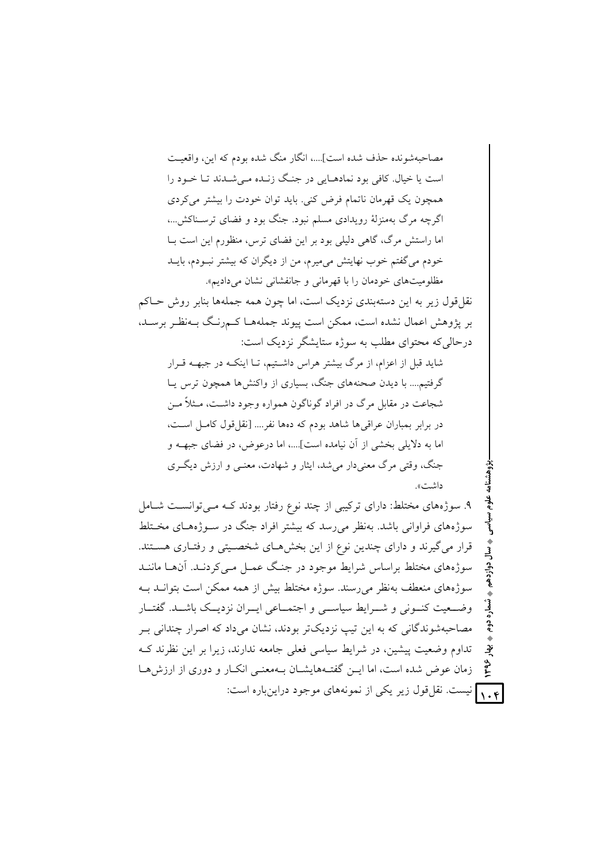مصاحبهشونده حذف شده است]....، انگار منگ شده بودم که این، واقعیت است یا خیال. کافی بود نمادهـایی در جنـگ زنـده مـیشـدند تـا خـود را همچون یک قهرمان ناتمام فرض کنی. باید توان خودت را بیشتر میکردی اگرچه مرگ بهمنزلهٔ رویدادی مسلم نبود. جنگ بود و فضای ترسـناکش...، اما راستش مرگ، گاهی دلیلی بود بر این فضای ترس، منظورم این است بـا خودم میگفتم خوب نهایتش میمیرم، من از دیگران که بیشتر نبـودم، بایــد مظلومیتهای خودمان را با قهرمانی و جانفشانی نشان می دادیم». نقل قول زیر به این دستهبندی نزدیک است، اما چون همه جملهها بنابر روش حــاکم بر پژوهش اعمال نشده است، ممکن است پیوند جملههـا کـمرنـگ بــهنظـر برســد، در حالی که محتوای مطلب به سوژه ستایشگر نزدیک است: شاید قبل از اعزام، از مرگ بیشتر هراس داشتیم، تـا اینکـه در جبهــه قــرار گرفتیم.... با دیدن صحنههای جنگ، بسیاری از واکنشها همچون ترس پـا شجاعت در مقابل مرگ در افراد گوناگون همواره وجود داشت، مـثلاً مــن در برابر بمباران عراقی ها شاهد بودم که دهها نفر.... [نقل قول کامـل اسـت، اما به دلایلی بخشی از آن نیامده است]....، اما درعوض، در فضای جبهــه و جنگ، وقتی مرگ معنے دار مے شد، ایثار و شھادت، معنے و ارزش دیگ ی داشت». ۹. سوژههای مختلط: دارای ترکیبی از چند نوع رفتار بودند کـه مـیتوانسـت شـامل سوژههای فراوانی باشد. بهنظر می رسد که بیشتر افراد جنگ در سـوژههـای مخـتلط قرار می گیرند و دارای چندین نوع از این بخشهای شخصیتی و رفتاری هستند. سوژههای مختلط براساس شرایط موجود در جنگ عمـل مـی کردنـد. آنهـا ماننـد سوژههای منعطف پهنظر می رسند. سوژه مختلط پیش از همه ممکن است پتوانید پیه وضعیت کنونی و شـرایط سیاســی و اجتمــاعی ایــران نزدیــک باشــد. گفتــار

مصاحبهشوندگانی که به این تیپ نزدیکتر بودند، نشان میداد که اصرار چندانی بـر تداوم وضعیت پیشین، در شرایط سیاسی فعلی جامعه ندارند، زیرا بر این نظرند ک ؠٚٳ  $\zeta$ زمان عوض شده است، اما ایـن گفتـههایشـان بـهمعنـی انکـار و دوری از ارزشهـا ۰٫۴ نیست. نقل قول زیر یکی از نمونههای موجود دراینباره است: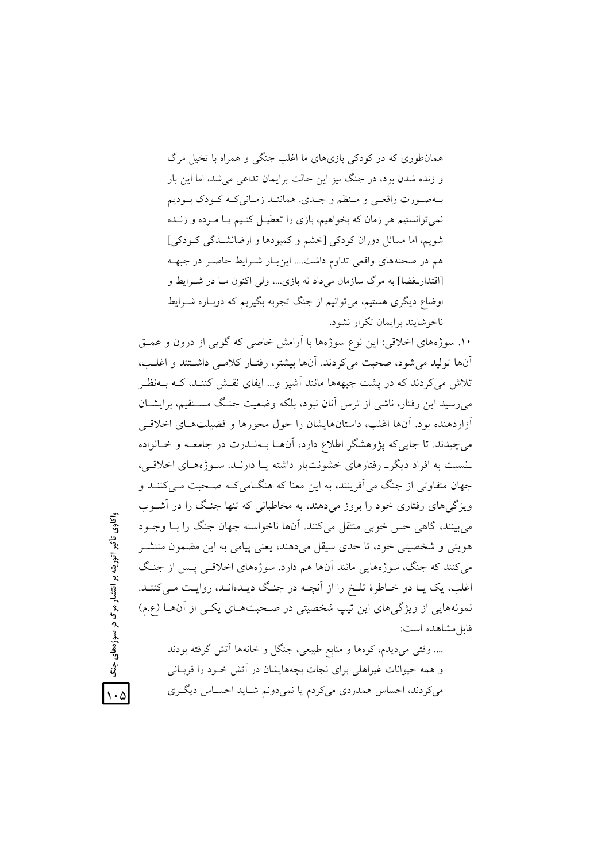همانطوری که در کودکی بازیهای ما اغلب جنگی و همراه با تخیل مرگ و زنده شدن بود، در جنگ نیز این حالت برایمان تداعی میشد، اما این بار بـهصـورت واقعـي و مـنظم و جـدي. هماننــد زمــانيكــه كـودك بــوديم نمیتوانستیم هر زمان که بخواهیم، بازی را تعطیـل کنـیم یــا مــرده و زنــده شویم، اما مسائل دوران کودکی [خشم و کمبودها و ارضانشــدگی کــودکی] هم در صحنههای واقعی تداوم داشت…. این بار شـرایط حاضـر در جبهــه [اقتدارفحضا] به مرگ سازمان میٍ داد نه بازی…، ولی اکنوِن مـا در شــرایط و اوضاع دیگری هستیم، میïوانیم از جنگ تجربه بگیریم که دوبـاره شــرایط ناخو شایند برایمان تکرار نشود.

۱۰. سوژههای اخلاقی: این نوع سوژهها با آرامش خاصی که گویی از درون و عمــق أنها تولید میشود، صحبت میکردند. أنها بیشتر، رفتـار کلامـی داشــتند و اغلــب، تلاش میکردند که در پشت جبههها مانند أشپز و… ایفای نقـش کننـد، کــه بــهنظـر میرسید این رفتار، ناشی از ترس آنان نبود، بلکه وضعیت جنگ مسـتقیم، برایشــان أزاردهنده بود. أنها اغلب، داستانهايشان را حول محورها و فضيلتهـاى اخلاقــى میچیدند. تا جاییکه پژوهشگر اطلاع دارد، آنهــا بــهنــدرت در جامعــه و خــانواده خسبت به افراد دیگرــ رفتارهای خشونتبار داشته یـا دارنــد. ســوژههــای اخلاقــی، جهان متفاوتی از جنگ میآفرینند، به این معنا که هنگــامیکــه صــحبت مــیکننــد و ویژگیهای رفتاری خود را بروز میدهند، به مخاطبانی که تنها جنـگ را در آشــوب میبینند، گاهی حس خوبی منتقل میکنند. آنها ناخواسته جهان جنگ را بـا وجــود هویتی و شخصیتی خود، تا حدی سیقل میدهند، یعنی پیامی به این مضمون منتشـر میکنند که جنگ، سوژههایی مانند آنها هم دارد. سوژههای اخلاقــی پــس از جنــگ اغلب، یک یـا دو خــاطرهٔ تلــخ را از أنچــه در جنـگ دیــدهانــد، روایــت مــیکننــد. نمونههایی از ویژگیهای این تیپ شخصیتی در صـحبتهـای یکـی از آنهــا (ع.م) قابلٍمشاهده است:

.... وقتی میدیدم، کوهها و منابع طبیعی، جنگل و خانهها آتش گرفته بودند و همه حیوانات غیراهلی برای نجات بچههایشان در آتش خــود را قربــانی میکردند، احساس همدردی میکردم یا نمیدونم شـاید احســاس دیگــری

ر سوژههای جنگ <mark>|</mark><br>د ر<br>مرگ<br>د <u>تا</u> ريته بر ا واكاوى تأثير اتو ول<br>- {نگ<br>أ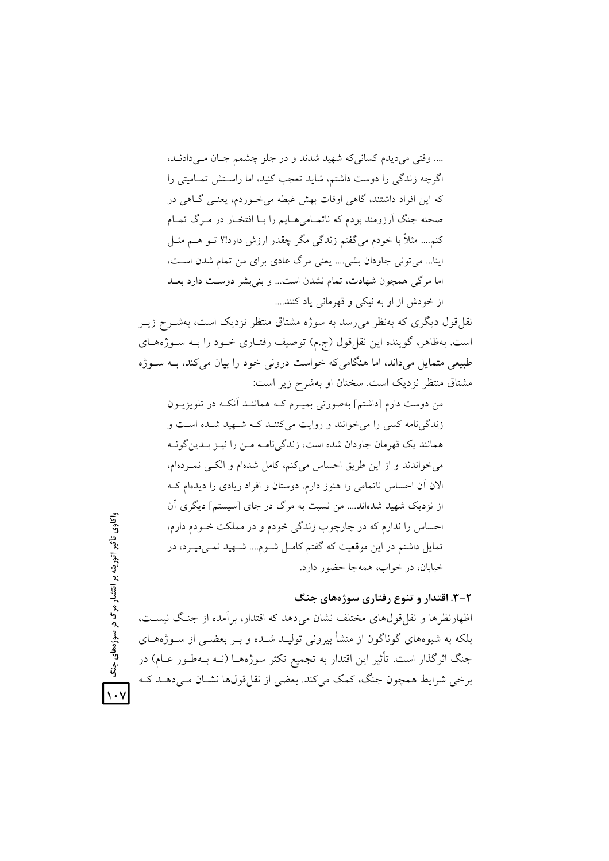.... وقتي مي ديدم كساني كه شهيد شدند و در جلو چشمم جـان مـي دادنـد، اگرچه زندگی را دوست داشتم، شاید تعجب کنید، اما راستش تمـامیتی را که این افراد داشتند، گاهی اوقات بهش غبطه می خوردم، یعنبی گـاهی در صحنه جنگ اَرزومند بودم که ناتمـامی۵مـایم را بـا افتخـار در مـرگ تمـام کنم.... مثلاً با خودم می گفتم زندگی مگر چقدر ارزش دارد!؟ تــو هــم مثــل اینا... میتونی جاودان بشی.... یعنی مرگ عادی برای من تمام شدن است، اما مرگی همچون شهادت، تمام نشدن است... و بنی بشر دوست دارد بعـد از خودش از او به نیکی و قهرمانی یاد کنند....

نقل قول دیگری که بهنظر می رسد به سوژه مشتاق منتظر نزدیک است، بهشــرح زیــر است. بهظاهر، گوینده این نقل قول (ج.م) توصیف رفتـاری خــود را بــه ســوژههــای طبیعی متمایل میداند، اما هنگامی که خواست درونی خود را بیان می کند، بـه سـوژه مشتاق منتظر نزدیک است. سخنان او بهشرح زیر است:

من دوست دارم [داشتم] بهصورتی بمیـرم کـه هماننـد آنکـه در تلویزیــون زندگی نامه کسی را می خوانند و روایت میکنند کـه شـهید شـده اسـت و همانند یک قهرمان جاودان شده است، زندگی نامـه مـن را نیـز بـدین گونــه مي خواندند و از اين طريق احساس مي كنم، كامل شدهام و الكبي نميردهام، الان آن احساس ناتمامی را هنوز دارم. دوستان و افراد زیادی را دیدهام ک از نزدیک شهید شدهاند.... من نسبت به مرگ در جای [سیستم] دیگری آن احساس را ندارم که در چارچوب زندگی خودم و در مملکت خـودم دارم، تمایل داشتم در این موقعیت که گفتم کامـل شـوم.... شــهید نمــیمیــرد، در خیابان، در خواب، همهجا حضور دارد.

۲-۳. اقتدار و تنوع رفتاری سوژههای جنگ

اظهارنظرها و نقل قولهای مختلف نشان می دهد که اقتدار، بر آمده از جنگ نیست، بلکه به شیوههای گوناگون از منشأ بیرونی تولیـد شـده و بـر بعضــی از ســوژههــای جنگ اثرگذار است. تأثیر این اقتدار به تجمیع تکثر سوژههـا (نــه بــهطـور عــام) در برخی شرایط همچون جنگ، کمک میکند. بعضی از نقل قولها نشـان مـیدهــد کـه

تأثیر اتوریته بر انتشار مرگ در سوژههای  $\sqrt{3}$ 

 $\vee$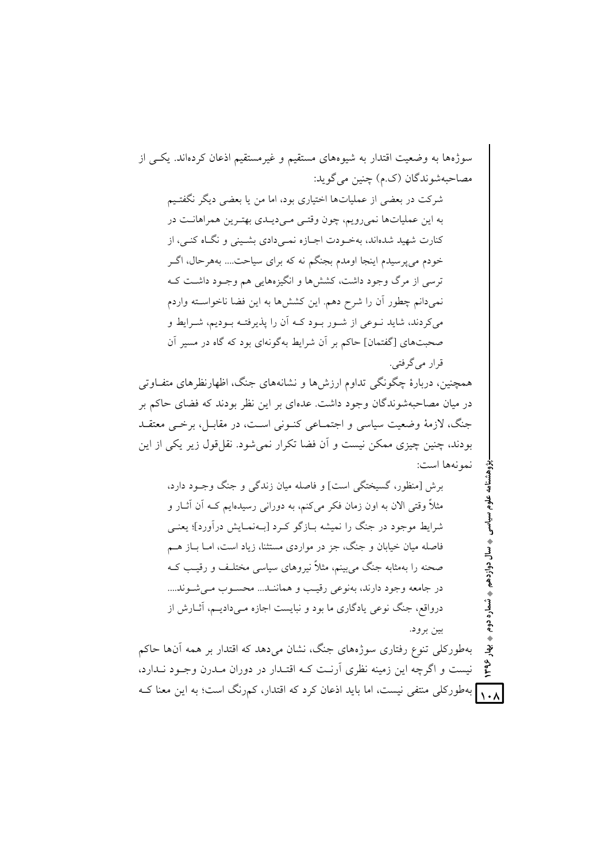سوژهها به وضعیت اقتدار به شیوههای مستقیم و غیرمستقیم اذعان کردهاند. یکسی از مصاحبهشوندگان (ک.م) چنين مي گويد: شرکت در بعضی از عملیاتها اختیاری بود، اما من یا بعضی دیگر نگفتیم به این عملیاتها نمیرویم، چون وقتبی مـیدیـدی بهتـرین همراهانـت در کنارت شهید شدهاند، بهخـودت اجــازه نمــی دادی بشــینی و نگــاه کنــی، از خودم میپرسیدم اینجا اومدم بجنگم نه که برای سیاحت.... بههرحال، اگـر ترسی از مرگ وجود داشت، کششها و انگیزههایی هم وجـود داشـت کـه نمیدانم چطور آن را شرح دهم. این کششها به این فضا ناخواسـته واردم می کردند، شاید نــوعی از شــور بــود کــه آن را پذیرفتــه بــودیم، شــرایط و صحبتهای [گفتمان] حاکم بر آن شرایط بهگونهای بود که گاه در مسیر آن قرار مي گرفتي. همچنین، دربارهٔ چگونگی تداوم ارزش۵ا و نشانههای جنگ، اظهارنظرهای متفــاوتی در میان مصاحبهشوندگان وجود داشت. عدهای بر این نظر بودند که فضای حاکم بر جنگ، لازمهٔ وضعیت سیاسی و اجتمـاعی کنـونی اسـت، در مقابـل، برخـی معتقـد بودند، چنین چیزی ممکن نیست و آن فضا تکرار نمی شود. نقل قول زیر یکی از این نمونهها است: برش [منظور، گسیختگی است] و فاصله میان زندگی و جنگ وجـود دارد، مثلاً وقتی الان به اون زمان فکر میکنم، به دورانی رسیدهایم کـه آن آثــار و شرایط موجود در جنگ را نمیشه بـازگو کـرد [بـهنمـایش درآورد]؛ یعنـی فاصله میان خیابان و جنگ، جز در مواردی مستثنا، زیاد است، امــا بــاز هــم صحنه را بهمثابه جنگ میبینم، مثلاً نیروهای سیاسی مختلـف و رقیـب کـه در جامعه وجود دارند، بهنوعی رقیب و هماننید... محسنوب می شیوند.... درواقع، جنگ نوعی یادگاری ما بود و نبایست اجازه مـیدادیـم، آثــارش از بين برود. بهطورکلی تنوع رفتاری سوژههای جنگ، نشان می دهد که اقتدار بر همه آنها حاکم ؠٚٳ 1498 نیست و اگرچه این زمینه نظری آرنت کـه اقتـدار در دوران مـدرن وجـود نـدارد، ۱۰۸ بهطورکلی منتفی نیست، اما باید اذعان کرد که اقتدار، کم,رنگ است؛ به این معنا ک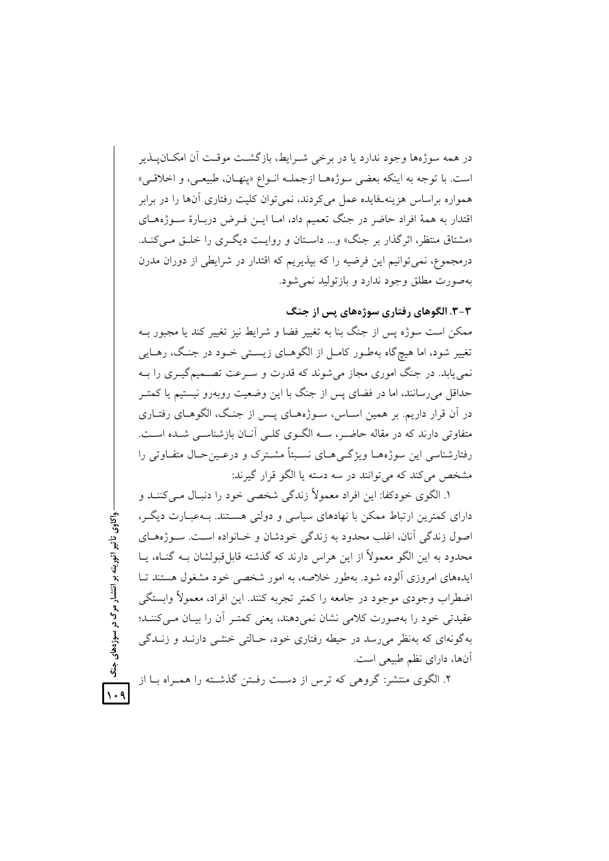در همه سوژهها وجود ندارد یا در برخی شـرایط، بازگشـت موقـت آن امکــان۱یــذیر است. با توجه به اينكه بعضي سوژههـا ازجملـه انـواع «ينهـان، طبيعـي، و اخلاقـي» همواره براساس هزینه فایده عمل میکردند، نمی توان کلیت رفتاری آنها را در برابر اقتدار به همهٔ افراد حاضر در جنگ تعمیم داد، امــا ایــن فــرض دربــارهٔ ســوژههــای «مشتاق منتظر، اثر گذار بر جنگ» و… داسـتان و روايـت ديگـري را خلـق مـي كنـد. درمجموع، نمی توانیم این فرضیه را که بپذیریم که اقتدار در شرایطی از دوران مدرن بهصورت مطلق وجود ندارد و بازتوليد نمي شود.

۳-۳. الگوهای رفتاری سوژههای پس از جنگ

ممکن است سوژه پس از جنگ بنا به تغییر فضا و شرایط نیز تغییر کند یا مجبور بـه تغییر شود، اما هیچگاه بهطـور کامـل از الگوهــای زیسـتی خــود در جنـگ، رهــایی نمی یابد. در جنگ اموری مجاز می شوند که قدرت و سـرعت تصـمیمگیـری را بــه حداقل میرسانند، اما در فضای پس از جنگ با این وضعیت روبهرو نیستیم یا کمتـر در آن قرار داریم. بر همین اسـاس، سـوژههـای پـس از جنـگ، الگوهـای رفتـاری متفاوتی دارند که در مقاله حاضـر، سـه الگـوی کلـی آنـان بازشناسـی شـده اسـت. رفتارشناسی این سوژههـا ویژگـی هـای نسـبتاً مشـترک و درعـین حـال متفـاوتی را مشخص مي كند كه مي توانند در سه دسته يا الگو قرار گيرند:

١. الگوى خودكفا: اين افراد معمولاً زندگي شخصي خود را دنبـال مـي كننــد و دارای کمترین ارتباط ممکن با نهادهای سیاسی و دولتی هستند. بـهعبـارت دیگـر، اصول زندگی آنان، اغلب محدود به زندگی خودشان و خـانواده اسـت. سـوژههـای محدود به این الگو معمولاً از این هراس دارند که گذشته قابل قبولشان بـه گنـاه، یــا ایدههای امروزی آلوده شود. بهطور خلاصه، به امور شخصی خود مشغول هستند تـا اضطراب وجودي موجود در جامعه را كمتر تجربه كنند. اين افراد، معمولاً وابستگي عقیدتی خود را بهصورت کلامی نشان نمی دهند، یعنی کمتـر آن را بیـان مـی کننــد؛ بهگونهای که بهنظر می رسد در حیطه رفتاری خود، حـالتی خنثــی دارنــد و زنــدگی آنها، دارای نظم طبیعی است.

۲. الگوی منتشر: گروهی که ترس از دست رفـتن گذشـته را همـراه بــا از

واکاوی تأثیر اتوریته بر انتشار مرگ در سوژههای

 $\ddot{3}$ 

 $\lambda \cdot 9$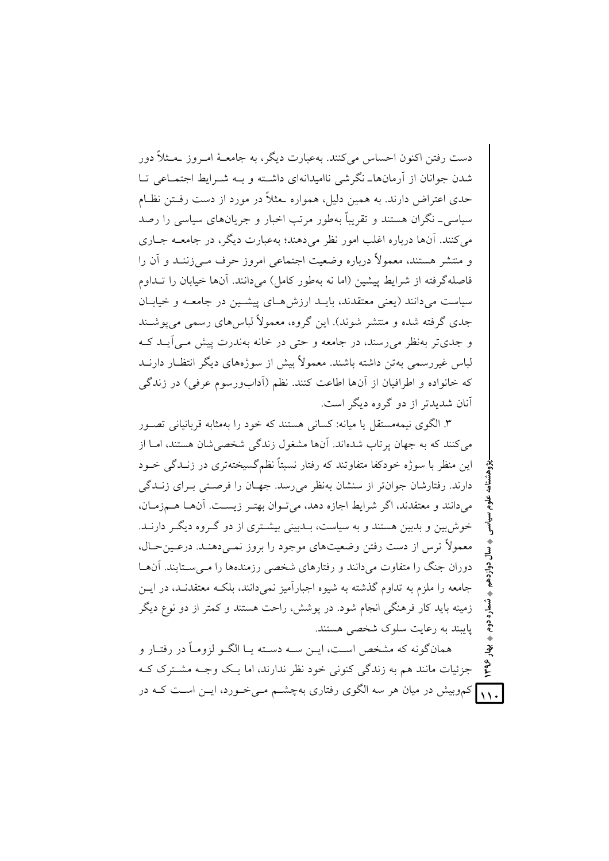دست رفتن اکنون احساس می کنند. بهعبارت دیگر، به جامعـهٔ امـروز بـمـثلاً دور شدن جوانان از آرمانها\_نگرشی ناامیدانهای داشته و بـه شـرایط اجتمـاعی تـا حدی اعتراض دارند. به همین دلیل، همواره حثلاً در مورد از دست رفــتن نظــام سیاسے ۔ نگران هستند و تقریباً بهطور مرتب اخبار و جریانِهای سیاسی را رصد مي کنند. آنها درباره اغلب امور نظر مي دهند؛ بهعبارت ديگر، در جامعــه جــاري و منتشر هستند، معمولاً درباره وضعیت اجتماعی امروز حرف مبی زننـد و آن را فاصله گرفته از شرایط پیشین (اما نه بهطور کامل) می دانند. آنها خیابان را تــداوم سیاست می دانند (یعنی معتقدند، بایـد ارزش هـای پیشـین در جامعـه و خیابـان جدی گرفته شده و منتشر شوند). این گروه، معمولاً لباس های رسمی می یوشـند و جدی تر په نظر می رسند، در جامعه و حتی در خانه په ندرت پیش ملی آیید کیه لباس غیررسمی بهتن داشته باشند. معمولاً بیش از سوژههای دیگر انتظـار دارنــد كه خانواده و اطرافيان از آنها اطاعت كنند. نظم (آدابورسوم عرفي) در زندگي آنان شدیدتر از دو گروه دیگر است.

۳. الگوی نیمهمستقل یا میانه: کسانی هستند که خود را بهمثابه قربانیانی تصـور می کنند که به جهان پر تاب شدهاند. آنها مشغول زندگی شخصی شان هستند، امــا از این منظر با سوژه خودکفا متفاوتند که رفتار نسبتاً نظم گسیخته تری در زنیدگی خبود دارند. رفتارشان جوانتر از سنشان بهنظر می رسد. جهـان را فرصـتی بـرای زنــدگی مي دانند و معتقدند، اگر شرايط اجازه دهد، مي تـوان بهتـر زيسـت. آنهـا هـمزمـان، خوش بین و بدبین هستند و به سیاست، بـدبینی بیشـتری از دو گـروه دیگـر دارنــد. معمولاً ترس از دست رفتن وضعیتهای موجود را بروز نمبی دهنـد. درعـین حـال، دوران جنگ را متفاوت می دانند و رفتارهای شخصی رزمندهها را مبی سـتایند. آنهـا جامعه را ملزم به تداوم گذشته به شیوه اجبارآمیز نمی دانند، بلکـه معتقدنـد، در ایـــ; زمینه باید کار فرهنگی انجام شود. در پوشش، راحت هستند و کمتر از دو نوع دیگر پایبند به رعایت سلوک شخصی هستند.

همانگونه که مشخص است، ایــن ســه دســته یــا الگــو لزومــاً در رفتــار و ؠٚٳ 1498 جزئیات مانند هم به زندگی کنونی خود نظر ندارند، اما یـک وجـه مشـترک کـه <mark>۱۱۰</mark> کموبیش در میان هر سه الگوی رفتاری بهچشــم مــیخــورد، ایــن اســت کــه در

تسماره دوم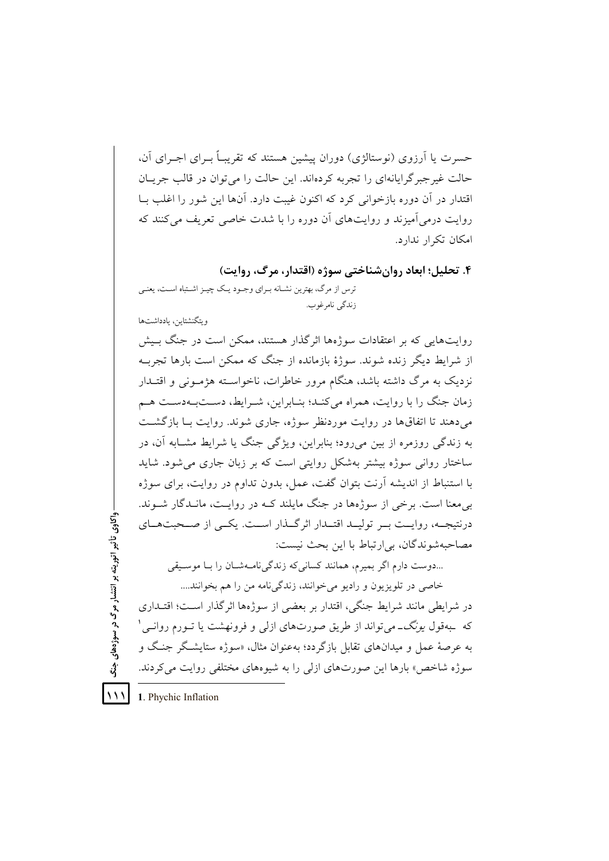حسرت یا آرزوی (نوستالژی) دوران پیشین هستند که تقریبـاً بـرای اجـرای آن، حالت غیرجبرگرایانهای را تجربه کردهاند. این حالت را می توان در قالب جریـان اقتدار در آن دوره بازخوانی کرد که اکنون غیبت دارد. آنها این شور را اغلب بــا روایت درمی آمیزند و روایتهای آن دوره را با شدت خاصی تعریف می کنند که امكان تكرار ندارد.

۴. تحلیل؛ ابعاد روان شناختی سوژه (اقتدار، مرگ، روایت) ترس از مرگ، بهترین نشـانه بـرای وجـود یـک چیـز اشـتباه اسـت، یعنـی زندگي نامرغوب.

ويتگنشتاين، بادداشتها

روایتهایی که بر اعتقادات سوژهها اثر گذار هستند، ممکن است در جنگ بـیش از شرایط دیگر زنده شوند. سوژهٔ بازمانده از جنگ که ممکن است بارها تجرب نزدیک به مرگ داشته باشد، هنگام مرور خاطرات، ناخواســته هژمــونی و اقتــدار زمان جنگ را با روایت، همراه میکنـد؛ بنـابراین، شـرایط، دسـتبـهدسـت هـم می دهند تا اتفاق ها در روایت موردنظر سوژه، جاری شوند. روایت بـا بازگشــت به زندگی روزمره از بین میررود؛ بنابراین، ویژگی جنگ یا شرایط مشـابه آن، در ساختار روانی سوژه بیشتر بهشکل روایتی است که بر زبان جاری می شود. شاید با استنباط از اندیشه آرنت بتوان گفت، عمل، بدون تداوم در روایت، برای سوژه بی معنا است. برخی از سوژهها در جنگ مایلند کـه در روایـت، مانـدگار شــوند. درنتیجــه، روایــت بــر تولیــد اقتــدار اثر گــذار اســت. یکــی از صــحبتهــای مصاحبهشوندگان، بي ارتباط با اين بحث نيست:

...دوست دارم اگر بمیرم، همانند کسانی که زندگی نامـهشــان را بــا موســیقی

خاصی در تلویزیون و رادیو می خوانند، زندگی نامه من را هم بخوانند.... در شرايطي مانند شرايط جنگي، اقتدار بر بعضي از سوژهها اثر گذار است؛ اقتــداري که بهقول *یونگ-می*تواند از طریق صورتهای ازلی و فرونهشت یا تـورم روانـی' به عرصهٔ عمل و میدانهای تقابل بازگردد؛ بهعنوان مثال، «سوژه ستایشگر جنگ و سوژه شاخص» بارها این صورتهای ازلی را به شیوههای مختلفی روایت می کردند.

1. Phychic Inflation  $\vee$ 

واکاوی تأثیر اتوریته بر انتشار مرگ در سوژههای

 $\boldsymbol{\hat{\mathbf{3}}}$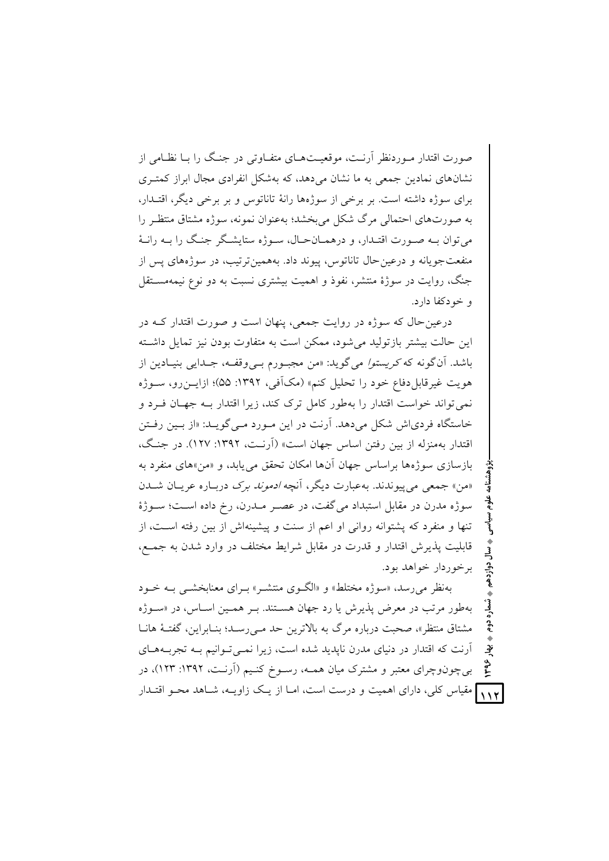صورت اقتدار مـوردنظر آرنـت، موقعیـتهـای متفـاوتی در جنـگ را بـا نظـامی از نشانهای نمادین جمعی به ما نشان میدهد، که بهشکل انفرادی مجال ابراز کمتـری برای سوژه داشته است. بر برخی از سوژهها رانهٔ تاناتوس و بر برخی دیگر، اقتـدار، به صورتهای احتمالی مرگ شکل می بخشد؛ بهعنوان نمونه، سوژه مشتاق منتظیر را مي توان بـه صـورت اقتـدار، و درهمـانحـال، سـوژه ستايشـگر جنـگ را بـه رانـهٔ منفعت جويانه و درعين حال تاناتوس، پيوند داد. بههمين ترتيب، در سوژههاي پس از جنگ، روایت در سوژهٔ منتشر، نفوذ و اهمیت بیشتری نسبت به دو نوع نیمهمسـتقل و خودکفا دارد.

درعین حال که سوژه در روایت جمعی، پنهان است و صورت اقتدار کـه در این حالت بیشتر بازتولید می شود، ممکن است به متفاوت بودن نیز تمایل داشته باشد. اّن گونه که *کریستوا می گوید: «من مجبـو*رم ب*ـی وقفـه*، جـدایی بنیـادین از هويت غيرقابلدفاع خود را تحليل كنم» (مكآفي، ١٣٩٢: ۵۵)؛ ازايــن(و، ســوژه نمی تواند خواست اقتدار را بهطور کامل ترک کند، زیرا اقتدار بـه جهـان فـرد و خاستگاه فردیاش شکل میدهد. آرنت در این مـورد مـی&ویـد: «از بـین رفـتن اقتدار بهمنزله از بین رفتن اساس جهان است» (اَرنت، ۱۳۹۲: ۱۲۷). در جنگ، بازسازي سوژهها براساس جهان آنها امكان تحقق مي بابد، و «من»هاي منفرد به «من» جمعي مي پيوندند. به عبارت ديگر، آنچه *ادموند برک د*ربـاره عريــان شــدن سوژه مدرن در مقابل استبداد میگفت، در عصـر مـدرن، رخ داده اسـت؛ سـوژهٔ تنها و منفرد که پشتوانه روانی او اعم از سنت و پیشینهاش از بین رفته است، از قابلیت پذیرش اقتدار و قدرت در مقابل شرایط مختلف در وارد شدن به جمع، برخوردار خواهد بود.

بهنظر می رسد، «سوژه مختلط» و «الگ1وی منتشبه» بیرای معنایخشبی بیه خیود بهطور مرتب در معرض پذیرش یا رد جهان هستند. بـر همـین اسـاس، در «سـوژه مشتاق منتظر»، صحبت درباره مرگ به بالاترين حد مـي(سـد؛ بنـابراين، گفتـهٔ هانـا آرنت که اقتدار در دنیای مدرن نایدید شده است، زیرا نمبی تـوانیم بـه تجربـههـای بی چون وچرای معتبر و مشترک میان همـه، رسـوخ کنـیم (آرنـت، ۱۳۹۲: ۱۲۳)، در ۱۱۲ مقیاس کلی، دارای اهمیت و درست است، امـا از یـک زاویــه، شــاهد محـو اقتـدار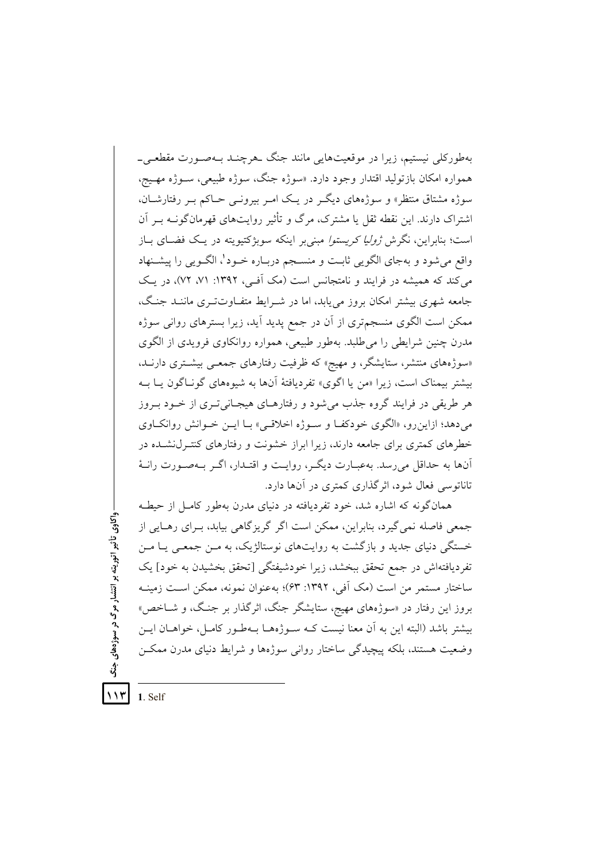بهطورکلی نیستیم، زیرا در موقعیتهایی مانند جنگ حرچنـد بـهصـورت مقطعــ ٍ\_ همواره امکان بازتولید اقتدار وجود دارد. «سوژه جنگ، سوژه طبیعی، سـوژه مهـیج، سوژه مشتاق منتظر» و سوژههای دیگ در یـک امـر بیرونـی حـاکم بـر رفتارشــان، اشتراک دارند. این نقطه ثقل یا مشترک، مرگ و تأثیر روایتهای قهرمان گونـه بـر آن است؛ بنابراین، نگرش *ژولیا کریستوا مبنی ب*ر اینکه سوبژکتیویته در یک فضـای بـاز واقع میشود و بهجای الگویی ثابت و منسـجم دربـاره خـود'، الگـویی را پیشـنهاد می کند که همیشه در فرایند و نامتجانس است (مک آفی، ۱۳۹۲: ۷۱، ۷۲)، در یک جامعه شهری بیشتر امکان بروز می یابد، اما در شـرایط متفـاوتتـری ماننـد جنـگ، ممکن است الگوی منسجمتری از آن در جمع پدید آید، زیرا بسترهای روانی سوژه مدرن چنین شرایطی را می طلبد. بهطور طبیعی، همواره روانکاوی فرویدی از الگوی «سوژههای منتشر، ستایشگر، و مهیج» که ظرفیت رفتارهای جمعـی بیشـتری دارنـد. بیشتر بیمناک است، زیرا «من یا اگوی» تفردیافتهٔ آنها به شیوههای گونـاگون یـا بــه هر طریقی در فرایند گروه جذب میشود و رفتارهـای هیجـانیتـری از خــود بــروز می دهد؛ ازاین رو، «الگوی خودکف و سوژه اخلاقی» بـا ایـن خـوانش روانکـاوی خطرهای کمتری برای جامعه دارند، زیرا ابراز خشونت و رفتارهای کنتـرل(نشـده در آنها به حداقل می رسد. بهعبـارت دیگـر، روایـت و اقتـدار، اگـر بـهصـورت رانـهٔ تاناتوسی فعال شود، اثرگذاری کمتری در آنها دارد.

همان گونه که اشاره شد، خود تفردیافته در دنیای مدرن بهطور کامل از حیطـه جمعي فاصله نمي گيرد، بنابراين، ممكن است اگر گريزگاهي بيابد، بـراي رهـايي از خستگی دنیای جدید و بازگشت به روایتهای نوستالژیک، به مـن جمعـی یـا مـن تفردیافتهاش در جمع تحقق ببخشد، زیرا خودشیفتگی [تحقق بخشیدن به خود] یک ساختار مستمر من است (مک آفی، ۱۳۹۲: ۶۳)؛ بهعنوان نمونه، ممکن است زمینـه بروز این رفتار در «سوژههای مهیج، ستایشگر جنگ، اثرگذار بر جنگ، و شـاخص» بيشتر باشد (البته اين به آن معنا نيست كـه سـوژههـا بـهطـور كامـل، خواهــان ايــن وضعیت هستند، بلکه پیچیدگی ساختار روانی سوژهها و شرایط دنیای مدرن ممکـن

 $117$ 1. Self

واکاوي تأثير اتوريته بر انتشار مرگ در سوژههاي

 $\ddot{\ddot{\delta}}$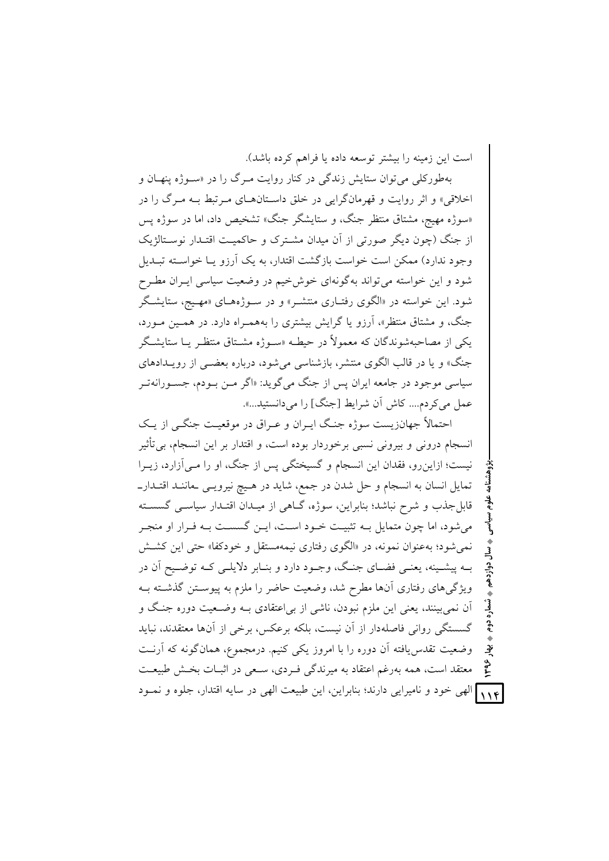است این زمینه را بیشتر توسعه داده یا فراهم کرده باشد).

بهطورکلی می توان ستایش زندگی در کنار روایت مـرگ را در «سـوژه ینهـان و اخلاقی» و اثر روایت و قهرمانگرایی در خلق داسـتانهــای مـرتبط بــه مـرگ را در «سوژه مهیج، مشتاق منتظر جنگ، و ستایشگر جنگ» تشخیص داد، اما در سوژه پس از جنگ (چون دیگر صورتی از أن میدان مشــترک و حاکمیــت اقتــدار نوســتالژیک وجود ندارد) ممکن است خواست بازگشت اقتدار، به یک آرزو یـا خواسـته تبــدیل شود و این خواسته می تواند به گونهای خوش خیم در وضعیت سیاسی ایـران مطـرح شود. این خواسته در «الگوی رفتــاری منتشــر» و در ســوژههــای «مهــیج، ستایشــگر جنگ، و مشتاق منتظر»، أرزو یا گرایش بیشتری را بههمـراه دارد. در همـین مـورد، یکی از مصاحبهشوندگان که معمولاً در حیطـه «سـوژه مشـتاق منتظـر یــا ستایشـگر جنگ» و یا در قالب الگوی منتشر، بازشناسی میشود، درباره بعضــی از رویــدادهای سیاسی موجود در جامعه ایران پس از جنگ میگوید: «اگر مــن بــودم، جســورانهتــر عمل میکردم.... کاش أن شرایط [جنگ] را میدانستید...».

بزوهشنامه علوم سیاسی <sub>،</sub> سال دوازدهم ، شماره دوم ، بهار ۱۳۹۶ <mark>)</mark><br>. سال دوازدهم ثىماره دوم  **-+ 1396** احتمالاً جهانزیست سوژه جنگ ایـران و عـراق در موقعیـت جنگــی از یــک انسجام درونی و بیرونی نسبی برخوردار بوده است، و اقتدار بر این انسجام، بی تأثیر نیست؛ ازاین٫و، فقدان این انسجام و گسیختگی پس از جنگ، او را مـیآزارد، زیــرا تمایل انسان به انسجام و حل شدن در جمع، شاید در هـیچ نیرویــی ـماننــد اقتــدارــ قابلِجذب و شرح نباشد؛ بنابراین، سوژه، گــاهی از میــدان اقتــدار سیاســی گسســته می شود، اما چون متمایل بــه تثبیــت خــود اســت، ایــن گسســت بــه فــرار او منجــر نمیشود؛ بهعنوان نمونه، در «الگوی رفتاری نیمهمستقل و خودکفا» حت<sub>م</sub> این کشـش بـه پیشــینه، یعنــی فضــای جنـگ، وجــود دارد و بنــابر دلایلــی کــه توضــیح أن در ویژگیهای رفتاری أنها مطرح شد، وضعیت حاضر را ملزم به پیوســتن گذشــته بــه أن نمیبینند، یعنی این ملزم نبودن، ناشی از بی|عتقادی بــه وضــعیت دوره جنـگ و گسستگی روانی فاصلهدار از أن نیست، بلکه برعکس، برخی از أنها معتقدند، نباید وضعیت تقدس یافته آن دوره را با امروز یکی کنیم. درمجموع، همانگونه که آرنـت معتقد است، همه بهرغم اعتقاد به میرندگی فـردی، سـعی در اثبــات بخــش طبیعــت ۱۱۴) الهی خود و نامیرایی دارند؛ بنابراین، این طبیعت الهی در سایه اقتدار، جلوه و نمـود

٠

٠

**-**

٠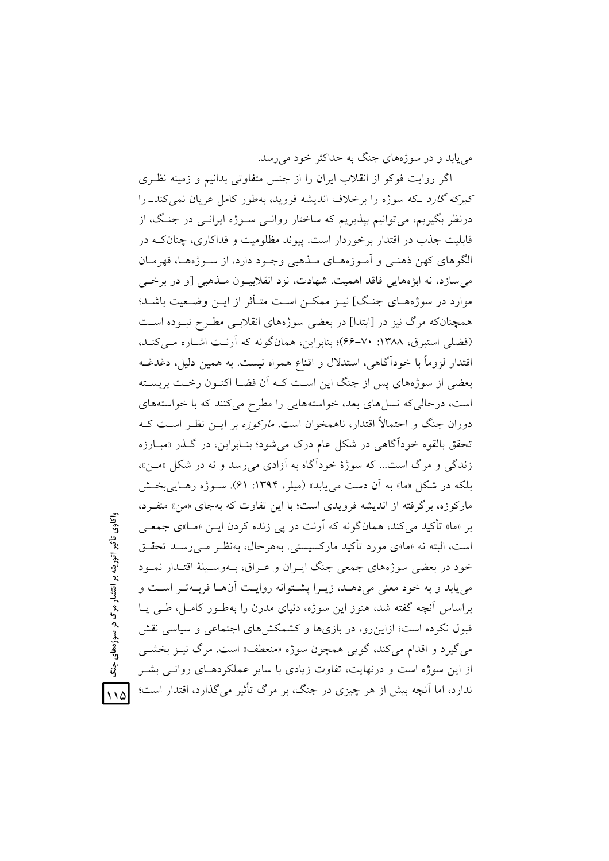مر بابد و در سوژههای جنگ به حداکثر خود می رسد.

اگر روایت فوکو از انقلاب ایران را از جنس متفاوتی بدانیم و زمینه نظری کیرکه گارد که سوژه را برخلاف اندیشه فروید، بهطور کامل عریان نمی کند\_ را درنظر بگيريم، مي توانيم بيذيريم كه ساختار روانــي ســوژه ايرانــي در جنــگ، از قابلیت جذب در اقتدار برخوردار است. پیوند مظلومیت و فداکاری، چنانکـه در الگوهای کهن ذهنبی و اَمـوزههـای مـذهبی وجـود دارد، از سـوژههـا، قهرمـان مي سازد، نه ابژههايي فاقد اهميت. شهادت، نزد انقلابيــون مــذهبي [و در برخــي موارد در سوژههــاي جنـگ] نيــز ممكــن اســت متــأثر از ايــن وضــعيت باشــد؛ همچنانکه مرگ نیز در [ابتدا] در بعضی سوژههای انقلابسی مطـرح نبـوده اسـت (فضلي استبرق، ١٣٨٨: ٧٠-۶۶)؛ بنابراين، همان گونه كه آرنت اشباره مبي كنيد، اقتدار لزوماً با خوداًگاهی، استدلال و اقناع همراه نیست. به همین دلیل، دغدغــه بعضی از سوژههای پس از جنگ این است کـه آن فضـا اکنـون رخـت بربسـته است، درحالی که نسلهای بعد، خواستههایی را مطرح میکنند که با خواستههای دوران جنگ و احتمالاً اقتدار، ناهمخوان است*. مارکوزه* بر ایــن نظـر اســت کــه تحقق بالقوه خودآگاهی در شکل عام درک می شود؛ بنـابراین، در گـذر «مبـارزه زندگی و مرگ است... که سوژهٔ خودآگاه به آزادی می رسد و نه در شکل «مـن»، بلکه در شکل «ما» به آن دست مییابد» (میلر، ۱۳۹۴: ۶۱). سـوژه رهـاییبخـش مارکوزه، برگرفته از اندیشه فرویدی است؛ با این تفاوت که بهجای «من» منفـرد، بر «ما» تأکید می کند، همانگونه که آرنت در یی زنده کردن ایــن «مــا»ی جمعــی است، البته نه «ما»ی مورد تأکید مارکسیستی. بههرحال، بهنظـر مـیررسـد تحقـق خود در بعضی سوژههای جمعی جنگ ایـران و عـراق، بـهوسـیلهٔ اقتـدار نمـود می پابد و به خود معنی می دهـد، زیـرا پشـتوانه روایـت آنهـا فربـهتـر اسـت و براساس أنچه گفته شد، هنوز این سوژه، دنیای مدرن را بهطـور کامـل، طـی یــا قبول نکرده است؛ ازاین رو، در بازیها و کشمکشهای اجتماعی و سیاسی نقش می گیرد و اقدام می کند، گویی همچون سوژه «منعطف» است. مرگ نیـز بخشـی از این سوژه است و درنهایت، تفاوت زیادی با سایر عملکردهـای روانـی بشـر ندارد، اما اَنچه بیش از هر چیزی در جنگ، بر مرگ تأثیر می گذارد، اقتدار است؛

, واکاوي تأثير اتوريته بر انتشار مرگ در سوژههاي

 $\sqrt{3}$ 

 $\bigwedge$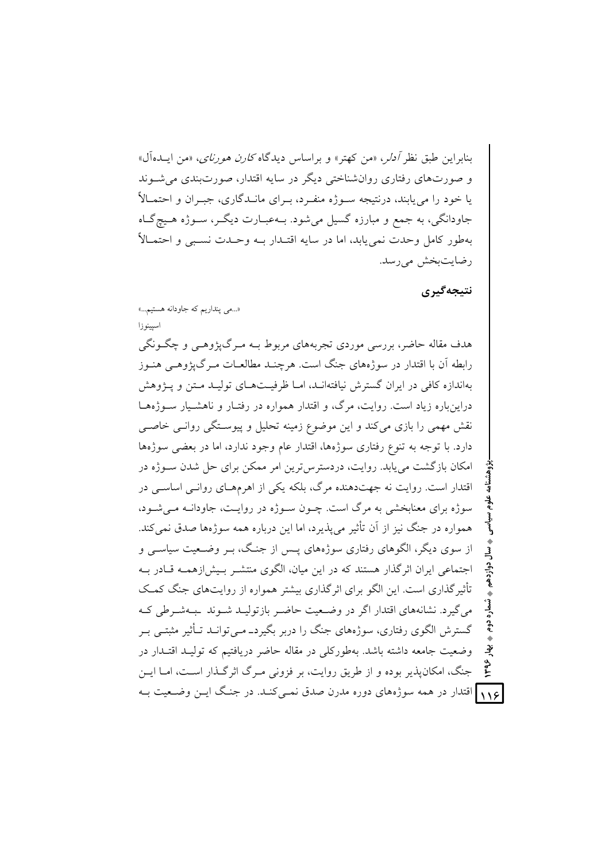بنايوان طبق نظر *آدلو*، «من كهتر» و براساس ديدگاه *كارن هو رناي*، «من ايــدهآل» و صورتهای رفتاری روانشناختی دیگر در سایه اقتدار، صورتبندی می شـوند یا خود را می پابند، درنتیجه سـوژه منفـرد، بـرای مانــدگاری، جبـران و احتمــالاً جاودانگی، به جمع و مبارزه گسیل میشود. بـهعبـارت دیگـر، سـوژه هـیج گـاه بهطور كامل وحدت نمى يابد، اما در سايه اقتـدار بــه وحـدت نسـبى و احتمــالاً رضايت بخش مي رسد.

نتيجەگيرى

ؠٚٳ م<br>ج

«...مي ينداريم كه جاودانه هستيم...»

اسيينوزا

هدف مقاله حاضر، بررسی موردی تجربههای مربوط بـه مـرگ&وهـی و چگـونگی رابطه آن با اقتدار در سوژههای جنگ است. هرچنـد مطالعــات مــرگEیژوهــی هنــوز بهاندازه کافی در ایران گسترش نیافتهانـد، امـا ظرفیـتهـای تولیـد مـتن و پــژوهش دراین باره زیاد است. روایت، مرگ، و اقتدار همواره در رفتـار و ناهشـیار سـوژههـا نقش مهمی را بازی می کند و این موضوع زمینه تحلیل و پیوسـتگی روانــی خاصــی دارد. با توجه به تنوع رفتاري سوژهها، اقتدار عام وجود ندارد، اما در بعضي سوژهها امکان بازگشت می پابد. روایت، دردسترس ترین امر ممکن برای حل شدن سـوژه در اقتدار است. روایت نه جهتدهنده مرگ، بلکه یکی از اهرمهمای روانبی اساسبی در سوژه برای معنابخشی به مرگ است. چــون ســوژه در روایــت، جاودانــه مــیشــود، همواره در جنگ نیز از آن تأثیر می پذیرد، اما این درباره همه سوژهها صدق نمی کند. از سوی دیگر، الگوهای رفتاری سوژههای پیس از جنگ، بیر وضعیت سیاستی و اجتماعی ایران اثر گذار هستند که در این میان، الگوی منتشـر پیش(زهمـه قیادر بـه تأثیر گذاری است. این الگو برای اثر گذاری بیشتر همواره از روایتهای جنگ کمک می گیرد. نشانههای اقتدار اگر در وضعیت حاضیر بازتولیـد شـوند بـبـهشـرطی کـه گسترش الگوی رفتاری، سوژههای جنگ را دربر بگیردـ مـی توانــد تــأثیر مثبتــی بــر وضعیت جامعه داشته باشد. بهطورکلی در مقاله حاضر دریافتیم که تولیـد اقتـدار در جنگ، امکانپذیر بوده و از طریق روایت، بر فزونی مـرگ اثرگـذار اسـت، امـا ایــن ۱۱۶ اقتدار در همه سوژههای دوره مدرن صدق نمــیکنـد. در جنـگ ایــن وضــعیت بــه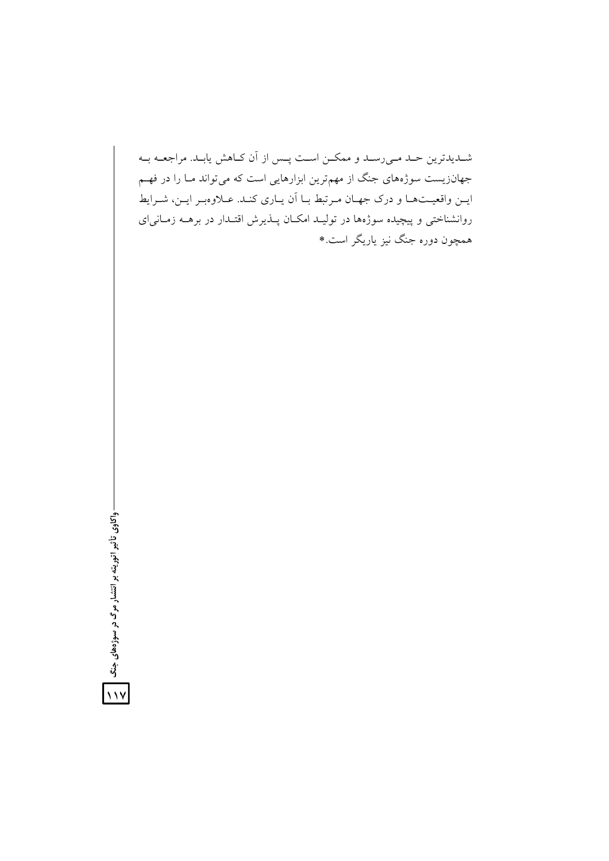شمدیدترین حمد می رسمد و ممکمن است پس از آن کاهش یابید. مراجعـه بـه جهانزیست سوژههای جنگ از مهمترین ابزارهایی است که میتواند مـا را در فهـم ایــن واقعیــتهـا و درک جهـان مـرتبط بـا اَن یـاری کنـد. عــلاوهبـر ایــن، شــرایط روانشناختی و پیچیده سوژهها در تولیـد امکـان پــذیرش اقتــدار در برهــه زمــانی|ی همچون دوره جنگ نیز یاریگر است.\*